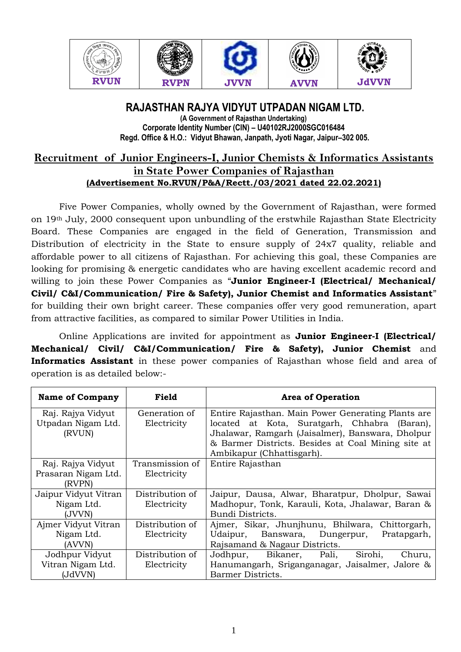

### **RAJASTHAN RAJYA VIDYUT UTPADAN NIGAM LTD. (A Government of Rajasthan Undertaking)**

**Corporate Identity Number (CIN) – U40102RJ2000SGC016484 Regd. Office & H.O.: Vidyut Bhawan, Janpath, Jyoti Nagar, Jaipur–302 005.**

# **Recruitment of Junior Engineers-I, Junior Chemists & Informatics Assistants in State Power Companies of Rajasthan (Advertisement No.RVUN/P&A/Rectt./03/2021 dated 22.02.2021)**

Five Power Companies, wholly owned by the Government of Rajasthan, were formed on 19th July, 2000 consequent upon unbundling of the erstwhile Rajasthan State Electricity Board. These Companies are engaged in the field of Generation, Transmission and Distribution of electricity in the State to ensure supply of 24x7 quality, reliable and affordable power to all citizens of Rajasthan. For achieving this goal, these Companies are looking for promising & energetic candidates who are having excellent academic record and willing to join these Power Companies as "**Junior Engineer-I (Electrical/ Mechanical/ Civil/ C&I/Communication/ Fire & Safety), Junior Chemist and Informatics Assistant**" for building their own bright career. These companies offer very good remuneration, apart from attractive facilities, as compared to similar Power Utilities in India.

Online Applications are invited for appointment as **Junior Engineer-I (Electrical/ Mechanical/ Civil/ C&I/Communication/ Fire & Safety), Junior Chemist** and **Informatics Assistant** in these power companies of Rajasthan whose field and area of operation is as detailed below:-

| <b>Name of Company</b>                             | Field                          | <b>Area of Operation</b>                                                                                                                                                                                        |
|----------------------------------------------------|--------------------------------|-----------------------------------------------------------------------------------------------------------------------------------------------------------------------------------------------------------------|
| Raj. Rajya Vidyut<br>Utpadan Nigam Ltd.<br>(RVUN)  | Generation of<br>Electricity   | Entire Rajasthan. Main Power Generating Plants are<br>located at Kota, Suratgarh, Chhabra<br>(Baran),<br>Jhalawar, Ramgarh (Jaisalmer), Banswara, Dholpur<br>& Barmer Districts. Besides at Coal Mining site at |
|                                                    |                                | Ambikapur (Chhattisgarh).                                                                                                                                                                                       |
| Raj. Rajya Vidyut<br>Prasaran Nigam Ltd.<br>(RVPN) | Transmission of<br>Electricity | Entire Rajasthan                                                                                                                                                                                                |
| Jaipur Vidyut Vitran<br>Nigam Ltd.<br>(JVVN)       | Distribution of<br>Electricity | Jaipur, Dausa, Alwar, Bharatpur, Dholpur, Sawai<br>Madhopur, Tonk, Karauli, Kota, Jhalawar, Baran &<br>Bundi Districts.                                                                                         |
| Ajmer Vidyut Vitran<br>Nigam Ltd.<br>(AVVN)        | Distribution of<br>Electricity | Ajmer, Sikar, Jhunjhunu, Bhilwara,<br>Chittorgarh,<br>Udaipur, Banswara, Dungerpur,<br>Pratapgarh,<br>Rajsamand & Nagaur Districts.                                                                             |
| Jodhpur Vidyut<br>Vitran Nigam Ltd.<br>(JdVVN)     | Distribution of<br>Electricity | Jodhpur, Bikaner,<br>Pali,<br>Sirohi,<br>Churu,<br>Hanumangarh, Sriganganagar, Jaisalmer, Jalore &<br>Barmer Districts.                                                                                         |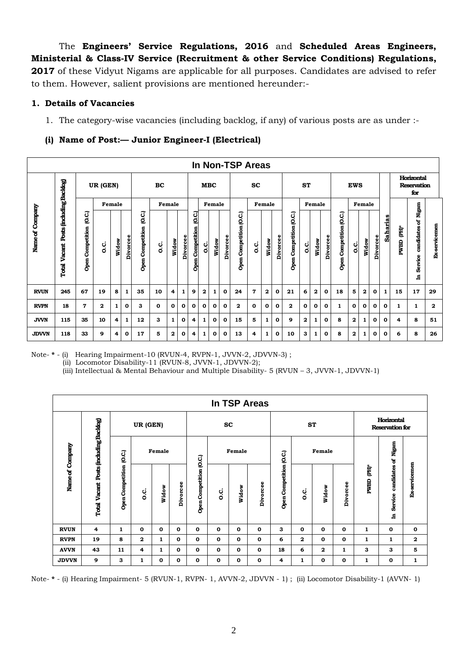The **Engineers' Service Regulations, 2016** and **Scheduled Areas Engineers, Ministerial & Class-IV Service (Recruitment & other Service Conditions) Regulations,**  2017 of these Vidyut Nigams are applicable for all purposes. Candidates are advised to refer to them. However, salient provisions are mentioned hereunder:-

# **1. Details of Vacancies**

1. The category-wise vacancies (including backlog, if any) of various posts are as under :-

# **(i) Name of Post:— Junior Engineer-I (Electrical)**

|                 |                                              |                                                                                                                      |              |   |   |    |              |              |                                      |     |              |            |                            | In Non-TSP Areas |                |              |                            |              |              |              |                            |              |              |              |              |             |                                     |                                         |              |
|-----------------|----------------------------------------------|----------------------------------------------------------------------------------------------------------------------|--------------|---|---|----|--------------|--------------|--------------------------------------|-----|--------------|------------|----------------------------|------------------|----------------|--------------|----------------------------|--------------|--------------|--------------|----------------------------|--------------|--------------|--------------|--------------|-------------|-------------------------------------|-----------------------------------------|--------------|
|                 |                                              |                                                                                                                      | UR (GEN)     |   |   |    | BC           |              |                                      |     |              | <b>MBC</b> |                            |                  | <b>SC</b>      |              |                            |              | <b>ST</b>    |              |                            |              | <b>EWS</b>   |              |              |             |                                     | Horizontal<br><b>Reservation</b><br>for |              |
|                 |                                              |                                                                                                                      |              |   |   |    |              | Female       |                                      |     |              | Female     |                            |                  |                | Female       |                            |              |              | Female       |                            |              |              | Female       |              |             |                                     |                                         |              |
| Name of Company | Posts (including Backlog)<br>Vacant<br>Total | Female<br>C.C.)<br>O.C.)<br>Competition<br>Competition<br><b>Divorcee</b><br>Widow<br>o.c<br>c.<br>O<br>Open<br>Open |              |   |   |    | Widow        | Divorcee     | (O.C.)<br>Competition<br><b>Open</b> | o.c | Widow        | Divorcee   | Competition (O.C.)<br>Open | c.c              | Widow          | Divorcee     | Competition (O.C.)<br>Open | ပ္ပ          | Widow        | Divorcee     | Competition (O.C.)<br>Open | ن<br>ol      | Widow        | Divorcee     | Saharias     | È<br>PWBD   | candidates of Nigam<br>Service<br>ਥ | Ex-servicemen                           |              |
| <b>RVUN</b>     | 245                                          | 67                                                                                                                   | 19           | 8 | 1 | 35 | 10           | 4            | 1                                    | 9   | $\mathbf{2}$ | 1          | $\mathbf 0$                | 24               | $\overline{7}$ | $\mathbf{2}$ | 0                          | 21           | 6            | $\mathbf{2}$ | 0                          | 18           | 5            | $\mathbf{2}$ | 0            | 1           | 15                                  | 17                                      | 29           |
| <b>RVPN</b>     | 18                                           | $\overline{7}$                                                                                                       | $\mathbf{2}$ | 1 | 0 | 3  | $\mathbf{o}$ | 0            | 0                                    | 0   | $\mathbf{o}$ | 0          | $\mathbf{o}$               | $\mathbf{2}$     | $\mathbf{o}$   | $\mathbf 0$  | 0                          | $\mathbf{2}$ | 0            | $\mathbf{o}$ | 0                          | $\mathbf{1}$ | 0            | 0            | $\mathbf{o}$ | $\mathbf 0$ | 1                                   | 1                                       | $\mathbf{2}$ |
| <b>JVVN</b>     | 115                                          | 35                                                                                                                   | 10           | 4 | 1 | 12 | 3            | $\mathbf{1}$ | $\mathbf{o}$                         | 4   | 1            | 0          | $\mathbf 0$                | 15               | 5              | $\mathbf{1}$ | 0                          | 9            | $\mathbf{2}$ | 1            | $\mathbf 0$                | 8            | $\mathbf{2}$ | 1            | 0            | $\mathbf 0$ | 4                                   | 8                                       | 51           |
| <b>JDVVN</b>    | 118                                          | 33                                                                                                                   | 9            | 4 | 0 | 17 | 5            | $\mathbf{2}$ | 0                                    | 4   | 1            | 0          | 0                          | 13               | 4              | 1            | 0                          | 10           | 3            | 1            | 0                          | 8            | 2            |              | 0            | 0           | 6                                   | 8                                       | 26           |

Note- **\*** - (i) Hearing Impairment-10 (RVUN-4, RVPN-1, JVVN-2, JDVVN-3) ; (ii) Locomotor Disability-11 (RVUN-8, JVVN-1, JDVVN-2); (iii) Intellectual & Mental Behaviour and Multiple Disability- 5 (RVUN – 3, JVVN-1, JDVVN-1)

|                 |                          |                         |             |        |             |                         |              |              | In TSP Areas |                         |              |        |             |           |                                      |                      |
|-----------------|--------------------------|-------------------------|-------------|--------|-------------|-------------------------|--------------|--------------|--------------|-------------------------|--------------|--------|-------------|-----------|--------------------------------------|----------------------|
|                 |                          |                         | UR (GEN)    |        |             |                         |              | <b>SC</b>    |              |                         | <b>ST</b>    |        |             |           | Horizontal<br><b>Reservation for</b> |                      |
|                 | Posts fincluding Backlog | C.C                     |             | Female |             |                         |              | Female       |              |                         |              | Female |             |           |                                      |                      |
| Name of Company | Vacant<br>Total          | <b>Open Competition</b> | o.c         | Widow  | Divorcee    | Open Competition (O.C.) | ن<br>٥       | Widow        | Divorcee     | Open Competition (O.C.) | ن<br>ö       | Widow  | Divorcee    | È<br>PWBD | candidates of Nigam<br>Service<br>£  | <b>Ex-servicemen</b> |
| <b>RVUN</b>     | 4                        | 1                       | $\mathbf 0$ | 0      | 0           | 0                       | $\mathbf 0$  | 0            | $\mathbf 0$  | З                       | $\mathbf 0$  | 0      | 0           | 1         | 0                                    | $\mathbf 0$          |
| <b>RVPN</b>     | 19                       | 8                       | 2           | 1      | $\mathbf 0$ | $\mathbf 0$             | $\mathbf{o}$ | $\mathbf{o}$ | $\mathbf 0$  | 6                       | $\mathbf{2}$ | 0      | $\mathbf 0$ | 1         | $\mathbf{1}$                         | $\mathbf{2}$         |
| <b>AVVN</b>     | 43                       | 11                      | 4           | 1      | 0           | $\mathbf 0$             | $\mathbf 0$  | 0            | $\mathbf 0$  | 18                      | 6            | 2      | 1           | З         | 3                                    | 5                    |
| <b>JDVVN</b>    | 9                        | 3                       | 1           | 0      | 0           | 0                       | 0            | 0            | $\mathbf{o}$ | 4                       | 1            | 0      | 0           | 1         | 0                                    | 1                    |

Note- **\*** - (i) Hearing Impairment- 5 (RVUN-1, RVPN- 1, AVVN-2, JDVVN - 1) ; (ii) Locomotor Disability-1 (AVVN- 1)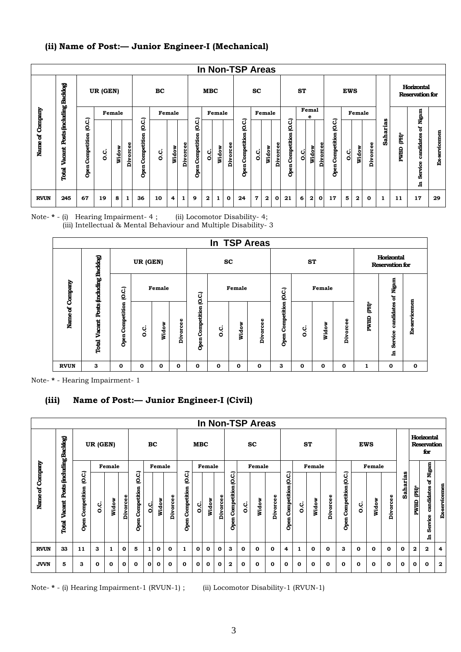# **(ii) Name of Post:— Junior Engineer-I (Mechanical)**

|                 |                                             |                           |          |        |          |                               |     |        |          |                               |              |        |          | In Non-TSP Areas             |              |          |              |                                    |           |            |              |                              |            |        |          |                 |                  |                                      |               |
|-----------------|---------------------------------------------|---------------------------|----------|--------|----------|-------------------------------|-----|--------|----------|-------------------------------|--------------|--------|----------|------------------------------|--------------|----------|--------------|------------------------------------|-----------|------------|--------------|------------------------------|------------|--------|----------|-----------------|------------------|--------------------------------------|---------------|
|                 |                                             |                           | UR (GEN) |        |          |                               | BC  |        |          |                               | <b>MBC</b>   |        |          |                              | <b>SC</b>    |          |              |                                    | ST        |            |              |                              | <b>EWS</b> |        |          |                 |                  | Horizontal<br><b>Reservation for</b> |               |
|                 |                                             |                           |          | Female |          |                               |     | Female |          |                               |              | Female |          |                              |              | Female   |              |                                    |           | Femal<br>е |              |                              |            | Female |          |                 |                  |                                      |               |
| Name of Company | Posts fincluding Backlog<br>Vacant<br>Total | Q.C.)<br>Open Competition | c.c      | Widow  | Divorcee | (O.C.)<br>Competition<br>Open | o.c | Widow  | Divorcee | (O.C.)<br>Competition<br>Open | ن<br>o       | Widow  | Divorcee | C.C.)<br>Competition<br>Open | ن<br>أه      | ŏ<br>Wid | Divorcee     | చె<br>₫<br>etition<br>Comp<br>Open | ပ္ပ<br>ol | ъ<br>Wid   | Divorcee     | (O.C.<br>Competition<br>Open | ci<br>O    | Widow  | Divorcee | <b>Saharias</b> | È<br><b>PWBD</b> | candidates of Nigam<br>Service<br>ᄇ  | Ex-servicemen |
| <b>RVUN</b>     | 245                                         | 67                        | 19       | 8      | 1        | 36                            | 10  | 4      | 1        | 9                             | $\mathbf{2}$ | 1      | 0        | 24                           | $\mathbf{7}$ | 2        | $\mathbf{o}$ | 21                                 | 6         | 2          | $\mathbf{0}$ | 17                           | 5          | 2      | 0        | 1               | 11               | 17                                   | 29            |

Note- **\*** - (i) Hearing Impairment- 4 ; (ii) Locomotor Disability- 4; (iii) Intellectual & Mental Behaviour and Multiple Disability- 3

|                 |                           |                     |          |        |                  |                         |           |             | In TSP Areas |                         |         |        |                  |           |                                      |               |
|-----------------|---------------------------|---------------------|----------|--------|------------------|-------------------------|-----------|-------------|--------------|-------------------------|---------|--------|------------------|-----------|--------------------------------------|---------------|
|                 |                           |                     | UR (GEN) |        |                  |                         | <b>SC</b> |             |              |                         | ST      |        |                  |           | Horizontal<br><b>Reservation for</b> |               |
|                 | Posts (including Backlog) | O.C.)               |          | Female |                  |                         |           | Female      |              |                         |         | Female |                  |           |                                      |               |
| Name of Company | Vacant<br>Total           | Competition<br>Open | c.<br>O  | Widow  | ee<br>٥<br>Divor | Open Competition (O.C.) | o.c       | Widow       | Divorcee     | Open Competition (O.C.) | c.<br>O | Widow  | Φ<br>٥<br>Divorc | È<br>PWBD | candidates of Nigam<br>Service       | Ex-servicemen |
| <b>RVUN</b>     | З                         | O                   | $\Omega$ | 0      | 0                | 0                       | 0         | $\mathbf 0$ | $\mathbf{o}$ | З                       | 0       | 0      | 0                | 1         | 힘<br>O                               | 0             |

Note- **\*** - Hearing Impairment- 1

# **(iii) Name of Post:— Junior Engineer-I (Civil)**

|                 |                                              |                              |          |              |          |                              |              |              |          |                              |            |             |             |                         |              | In Non-TSP Areas |          |                         |          |           |          |                         |            |          |             |              |             |                                         |                      |
|-----------------|----------------------------------------------|------------------------------|----------|--------------|----------|------------------------------|--------------|--------------|----------|------------------------------|------------|-------------|-------------|-------------------------|--------------|------------------|----------|-------------------------|----------|-----------|----------|-------------------------|------------|----------|-------------|--------------|-------------|-----------------------------------------|----------------------|
|                 |                                              |                              | UR (GEN) |              |          |                              | BC           |              |          |                              | <b>MBC</b> |             |             |                         |              | <b>SC</b>        |          |                         |          | <b>ST</b> |          |                         | <b>EWS</b> |          |             |              |             | Horizontal<br><b>Reservation</b><br>for |                      |
|                 |                                              |                              |          | Female       |          |                              |              | Female       |          |                              |            | Female      |             |                         |              | Female           |          |                         |          | Female    |          |                         |            | Female   |             |              |             | Nigam                                   |                      |
| Name of Company | Posts (including Backlog)<br>Vacant<br>Total | O.C.)<br>Competition<br>Open | c.c      | Widow        | Divorcee | O.C.)<br>Competition<br>Open | ن<br>أ       | Widow        | Divorcee | (O.C.<br>Competition<br>Open | ci<br>o    | Widow       | Divorcee    | Open Competition (O.C.) | o.c          | Widow            | Divorcee | Open Competition (O.C.) | c.<br>O  | Widow     | Divorcee | Open Competition (O.C.) | ပ္ပ        | Widow    | Divorcee    | Saharias     | È<br>PWBD   | ន<br>candidates<br>Service<br>日         | <b>Ex-servicemen</b> |
| <b>RVUN</b>     | 33                                           | 11                           | З        | 1            | 0        | 5                            | $\mathbf{1}$ | 0            | 0        | 1                            | 0          | 0           | 0           | 3                       | $\mathbf{o}$ | $\bf{0}$         | 0        | 4                       | 1        | $\bf{0}$  | 0        | 3                       | 0          | 0        | $\mathbf 0$ | $\mathbf{o}$ | $\mathbf 2$ | $\mathbf{2}$                            | 4                    |
| <b>JVVN</b>     | 5                                            | З                            | 0        | $\mathbf{o}$ | 0        | $\mathbf{o}$                 | $\mathbf{o}$ | $\mathbf{o}$ | $\bf{0}$ | $\bf{0}$                     | 0          | $\mathbf 0$ | $\mathbf 0$ | $\mathbf{2}$            | $\bf{0}$     | 0                | 0        | 0                       | $\bf{0}$ | 0         | 0        | 0                       | 0          | $\Omega$ | $\bf{0}$    | $\mathbf{o}$ | 0           | 0                                       | $\mathbf{2}$         |

Note- **\*** - (i) Hearing Impairment-1 (RVUN-1) ; (ii) Locomotor Disability-1 (RVUN-1)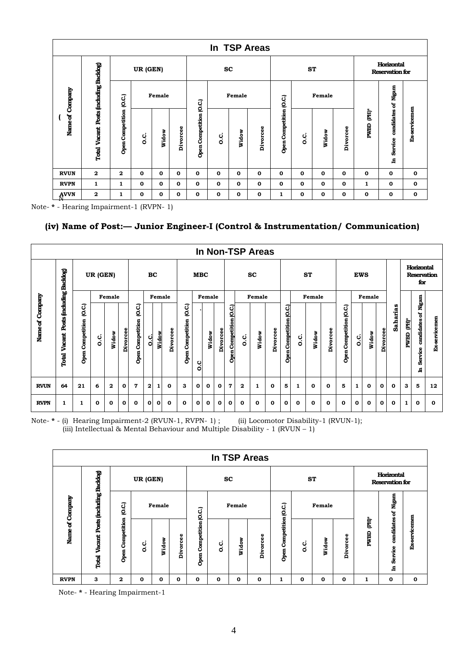|             |                          |                         |             |        |              |                         |              |              | In TSP Areas |                         |     |              |              |             |                                      |               |
|-------------|--------------------------|-------------------------|-------------|--------|--------------|-------------------------|--------------|--------------|--------------|-------------------------|-----|--------------|--------------|-------------|--------------------------------------|---------------|
|             |                          |                         | UR (GEN)    |        |              |                         | <b>SC</b>    |              |              |                         | ST  |              |              |             | Horizontal<br><b>Reservation for</b> |               |
| Company     | Posts fincluding Backlog | (0.C.)                  |             | Female |              |                         |              | Female       |              |                         |     | Female       |              |             |                                      |               |
| Name of     | <b>Total Vacant</b>      | <b>Open Competition</b> | o.c         | Widow  | Divorcee     | Open Competition (O.C.) | c.<br>O      | Widow        | Divorcee     | Open Competition (O.C.) | o.c | Widow        | Divorcee     | Ê<br>PWBD   | candidates of Nigam<br>Service<br>녀  | Ex-servicemen |
| <b>RVUN</b> | $\mathbf{2}$             | $\mathbf{2}$            | $\mathbf 0$ | 0      | $\mathbf{o}$ | $\mathbf{o}$            | $\mathbf 0$  | $\mathbf{o}$ | 0            | $\mathbf 0$             | 0   | $\mathbf 0$  | 0            | $\mathbf 0$ | $\mathbf 0$                          | $\mathbf 0$   |
| <b>RVPN</b> | 1                        | 1                       | $\mathbf 0$ | 0      | $\mathbf{o}$ | $\mathbf{o}$            | $\mathbf{o}$ | $\mathbf{o}$ | 0            | $\bf{0}$                | 0   | $\mathbf{o}$ | $\mathbf{o}$ | 1           | $\mathbf{o}$                         | $\mathbf 0$   |
| AVVN        | $\mathbf{2}$             | 1                       | 0           | 0      | $\mathbf{o}$ | $\mathbf 0$             | $\mathbf{o}$ | $\mathbf{o}$ | 0            | 1                       | 0   | $\mathbf 0$  | $\mathbf 0$  | $\mathbf 0$ | $\mathbf 0$                          | $\mathbf 0$   |

Note- **\*** - Hearing Impairment-1 (RVPN- 1)

# **(iv) Name of Post:— Junior Engineer-I (Control & Instrumentation/ Communication)**

|                 |                                              |                              |          |              |                 |                              |              |        |             |                                  |            |        |          |                         |         | In Non-TSP Areas |          |                         |     |           |          |                         |            |        |          |          |           |                                         |               |
|-----------------|----------------------------------------------|------------------------------|----------|--------------|-----------------|------------------------------|--------------|--------|-------------|----------------------------------|------------|--------|----------|-------------------------|---------|------------------|----------|-------------------------|-----|-----------|----------|-------------------------|------------|--------|----------|----------|-----------|-----------------------------------------|---------------|
|                 |                                              |                              | UR (GEN) |              |                 |                              | BC           |        |             |                                  | <b>MBC</b> |        |          |                         |         | <b>SC</b>        |          |                         |     | <b>ST</b> |          |                         | <b>EWS</b> |        |          |          |           | Horizontal<br><b>Reservation</b><br>for |               |
|                 |                                              |                              |          | Female       |                 |                              |              | Female |             |                                  |            | Female |          |                         |         | Female           |          |                         |     | Female    |          |                         |            | Female |          |          |           | Nigam                                   |               |
| Name of Company | Posts (including Backlog)<br>Vacant<br>Total | (O.C.<br>Competition<br>Open | c.<br>o  | Widow        | <b>Divorcee</b> | O.C.)<br>Competition<br>Open | ن<br>ol      | Widow  | Divorcee    | O.C.)<br><b>Open Competition</b> | ب<br>O     | Widow  | Divorcee | Open Competition (O.C.) | c.<br>O | Widow            | Divorcee | Open Competition (O.C.) | o.c | Widow     | Divorcee | Open Competition (O.C.) | o.c        | Widow  | Divorcee | Saharias | È<br>PWBD | ៵<br>candidates<br>Service<br>日         | Ex-servicemen |
| <b>RVUN</b>     | 64                                           | 21                           | 6        | $\mathbf{2}$ | 0               | 7                            | $\mathbf{2}$ | 1      | 0           | з                                | 0          | 0      | 0        | 7                       | 2       | 1                | 0        | 5                       | 1   | $\bf{0}$  | 0        | 5                       | 1          | 0      | 0        | 0        | з         | 5                                       | 12            |
| <b>RVPN</b>     | 1                                            | 1                            | 0        | 0            | $\mathbf o$     | 0                            | 0            | 0      | $\mathbf o$ | 0                                | 0          | 0      | $\bf{0}$ | 0                       | 0       | 0                | 0        | $\bf{0}$                | 0   | 0         | 0        | $\mathbf o$             | 0          | 0      | 0        | 0        | 1         | 0                                       | $\mathbf o$   |

Note- **\*** - (i) Hearing Impairment-2 (RVUN-1, RVPN- 1) ; (ii) Locomotor Disability-1 (RVUN-1); (iii) Intellectual & Mental Behaviour and Multiple Disability - 1 ( $RVUN - 1$ )

|                 |                           |                     |          |              |              |                            |           |              | In TSP Areas |                         |         |        |          |           |                                      |                |
|-----------------|---------------------------|---------------------|----------|--------------|--------------|----------------------------|-----------|--------------|--------------|-------------------------|---------|--------|----------|-----------|--------------------------------------|----------------|
|                 |                           |                     | UR (GEN) |              |              |                            | <b>SC</b> |              |              |                         | SТ      |        |          |           | Horizontal<br><b>Reservation for</b> |                |
|                 | Posts (including Backlog) | C.C.                |          | Female       |              |                            |           | Female       |              |                         |         | Female |          |           | of Nigam                             |                |
| Name of Company | Vacant<br>Total           | Competition<br>Open | o.c      | Widow        | ω<br>Divorce | Competition (O.C.)<br>Open | c.<br>O   | Widow        | Divorcee     | Open Competition (O.C.) | c.<br>O | Widow  | Divorcee | È<br>PWBD | candidates<br>Service<br>ᄇ           | ervicemen<br>ģ |
| <b>RVPN</b>     | 3                         | 2                   | 0        | $\mathbf{o}$ | $\mathbf 0$  | 0                          | 0         | $\mathbf{o}$ | 0            | 1                       | 0       | 0      | 0        | 1         | 0                                    | 0              |

Note- **\*** - Hearing Impairment-1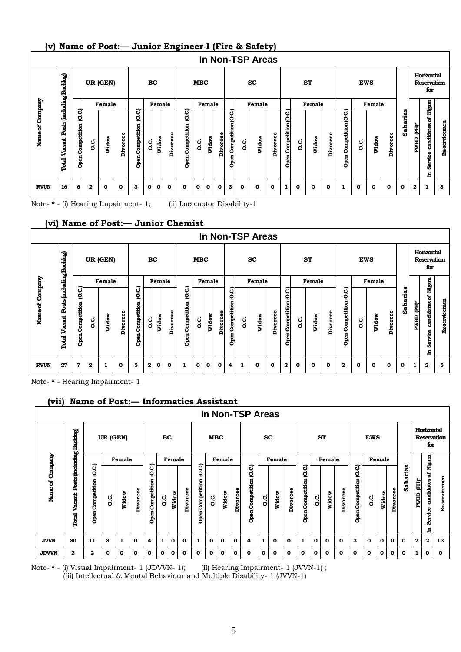# **(v) Name of Post:— Junior Engineer-I (Fire & Safety)**

|                 |                                              |                             |         |              |             |                              |              |              |          |                                 |            |        |              |                           |     | <b>In Non-TSP Areas</b> |          |                         |     |             |          |                               |     |              |             |                 |           |                                         |               |
|-----------------|----------------------------------------------|-----------------------------|---------|--------------|-------------|------------------------------|--------------|--------------|----------|---------------------------------|------------|--------|--------------|---------------------------|-----|-------------------------|----------|-------------------------|-----|-------------|----------|-------------------------------|-----|--------------|-------------|-----------------|-----------|-----------------------------------------|---------------|
|                 |                                              |                             |         | UR (GEN)     |             |                              | BC           |              |          |                                 | <b>MBC</b> |        |              |                           |     | $\mathbf{sc}$           |          |                         |     | <b>ST</b>   |          |                               |     | <b>EWS</b>   |             |                 |           | Horizontal<br><b>Reservation</b><br>for |               |
|                 |                                              |                             |         | Female       |             |                              |              | Female       |          |                                 |            | Female |              |                           |     | Female                  |          |                         |     | Female      |          |                               |     | Female       |             |                 |           | Nigam                                   |               |
| Name of Company | Posts (including Backlog)<br>Vacant<br>Total | 0.C.<br>Competition<br>Open | c.<br>O | Widow        | Divorcee    | C.C.)<br>Competition<br>Open | C.           | Widow        | Divorcee | ਹੁੰ<br>₫<br>Competition<br>Open | ci<br>o    | Widow  | Divorcee     | 0.C.)<br>Open Competition | ပ္ပ | Widow                   | Divorcee | Open Competition (O.C.) | ပ္ပ | Widow       | Divorcee | (O.C.)<br>Competition<br>Open | o.c | Widow        | Divorcee    | <b>Saharias</b> | 勯<br>PWBD | ð<br>candidates<br>ω<br>கீ<br>ਥ         | Ex-servicemen |
| <b>RVUN</b>     | 16                                           | 6                           | 2       | $\mathbf{o}$ | $\mathbf 0$ | 3                            | $\mathbf{o}$ | $\mathbf{0}$ | 0        | 0                               | 0          | 0      | $\mathbf{o}$ | 3                         | 0   | 0                       | 0        | 1                       | 0   | $\mathbf 0$ | 0        | 1                             | 0   | $\mathbf{o}$ | $\mathbf 0$ | 0               | 2         | 1                                       | 3             |

Note- **\*** - (i) Hearing Impairment- 1; (ii) Locomotor Disability-1

#### **(vi) Name of Post:— Junior Chemist**

|                 |                                 |                                |              |          |          |                              |           |              |          |                                  |              |        |                 |                               | In Non-TSP Areas |        |          |                               |     |        |          |                         |             |            |             |          |           |                                         |               |
|-----------------|---------------------------------|--------------------------------|--------------|----------|----------|------------------------------|-----------|--------------|----------|----------------------------------|--------------|--------|-----------------|-------------------------------|------------------|--------|----------|-------------------------------|-----|--------|----------|-------------------------|-------------|------------|-------------|----------|-----------|-----------------------------------------|---------------|
|                 | <b>finchuding Backlog</b>       |                                |              | UR (GEN) |          |                              | <b>BC</b> |              |          |                                  | <b>MBC</b>   |        |                 |                               |                  | SC     |          |                               |     | ST     |          |                         |             | <b>EWS</b> |             |          |           | Horizontal<br><b>Reservation</b><br>for |               |
|                 |                                 |                                |              | Female   |          |                              |           | Female       |          |                                  |              | Female |                 |                               |                  | Female |          |                               |     | Female |          |                         |             | Female     |             |          |           | Nigam                                   |               |
| Name of Company | <b>Posts</b><br>Vacant<br>Total | C.<br>Q<br>Competition<br>Open | c.c          | Widow    | Divorcee | C.C.)<br>Competition<br>Open | c.<br>O   | Widow        | Divorcee | ئ<br>ℭ<br>Competition<br>ā<br>ර් | ci<br>o      | Widow  | <b>Divorcee</b> | (O.C.)<br>Competition<br>Open | c.<br>O          | Widow  | Divorcee | द<br>₫<br>Competition<br>Open | ပ္ပ | Widow  | Divorcee | Open Competition (O.C.) | c.<br>O     | Widow      | Divorcee    | Saharias | È<br>PWBD | candidates of<br>Service<br>日           | Ex-servicemen |
| <b>RVUN</b>     | 27                              | 7                              | $\mathbf{2}$ | 1        | 0        | 5                            | 2         | $\mathbf{o}$ | 0        | 1                                | $\mathbf{o}$ | 0      | $\mathbf{o}$    | 4                             | 1                | 0      | 0        | 2                             | 0   | 0      | 0        | 2                       | $\mathbf o$ | 0          | $\mathbf 0$ | 0        |           | $\mathbf{2}$                            | 5             |

Note- **\*** - Hearing Impairment- 1

# **(vii) Name of Post:— Informatics Assistant**

|                    |                                             |                              |          |          |              |                               |              |        |          |                               |              |              |          | In Non-TSP Areas             |           |        |          |                               |          |              |          |                         |            |              |          |             |                  |                                |                    |
|--------------------|---------------------------------------------|------------------------------|----------|----------|--------------|-------------------------------|--------------|--------|----------|-------------------------------|--------------|--------------|----------|------------------------------|-----------|--------|----------|-------------------------------|----------|--------------|----------|-------------------------|------------|--------------|----------|-------------|------------------|--------------------------------|--------------------|
|                    |                                             |                              | UR (GEN) |          |              |                               | BC           |        |          |                               |              | <b>MBC</b>   |          |                              | <b>SC</b> |        |          |                               |          | ST           |          |                         | <b>EWS</b> |              |          |             |                  | Horizontal<br>for              | <b>Reservation</b> |
|                    |                                             |                              |          | Female   |              |                               |              | Female |          |                               |              | Female       |          |                              |           | Female |          |                               |          | Female       |          |                         |            | Female       |          |             |                  | Nigam                          |                    |
| Company<br>Name of | Posts fincluding Backlog<br>Vacant<br>Total | (O.C.<br>Competition<br>Open | ن<br>ة   | Widow    | Divorcee     | (O.C.)<br>Competition<br>Open | ပ္ပံ         | Widow  | Divorcee | ට<br>ල<br>Competition<br>Open | c.           | Widow        | Divorcee | (O.C.<br>Competition<br>Open | ب<br>Ő    | Widow  | Divorcee | (O.C.)<br>Competition<br>Open | o.c      | Widow        | Divorcee | Open Competition (O.C.) | o.c        | Widow        | Divorcee | Saharias    | $(PH)^*$<br>PWBD | ៵<br>candidates<br>8<br>ä<br>日 | Ex-servicemen      |
| <b>JVVN</b>        | 30                                          | 11                           | 3        | 1        | $\mathbf 0$  | 4                             | $\mathbf{1}$ | 0      | 0        |                               | $\mathbf{o}$ | $\mathbf{o}$ | 0        | 4                            | 1         | 0      | 0        | 1                             | $\bf{0}$ | $\mathbf{o}$ | 0        | З                       | 0          | 0            | 0        | 0           | $\mathbf{2}$     | 2                              | 13                 |
| <b>JDVVN</b>       | $\mathbf{2}$                                | 2                            | 0        | $\Omega$ | $\mathbf{o}$ | 0                             | 0            | 0      | 0        | 0                             | $\mathbf{0}$ | $\mathbf{o}$ | 0        | 0                            | 0         | 0      | 0        | 0                             | $\Omega$ | 0            | 0        | 0                       | 0          | $\mathbf{o}$ | 0        | $\mathbf o$ | 1                | 0                              | $\mathbf{o}$       |

Note- **\*** - (i) Visual Impairment- 1 (JDVVN- 1); (ii) Hearing Impairment- 1 (JVVN-1) ;

(iii) Intellectual & Mental Behaviour and Multiple Disability- 1 (JVVN-1)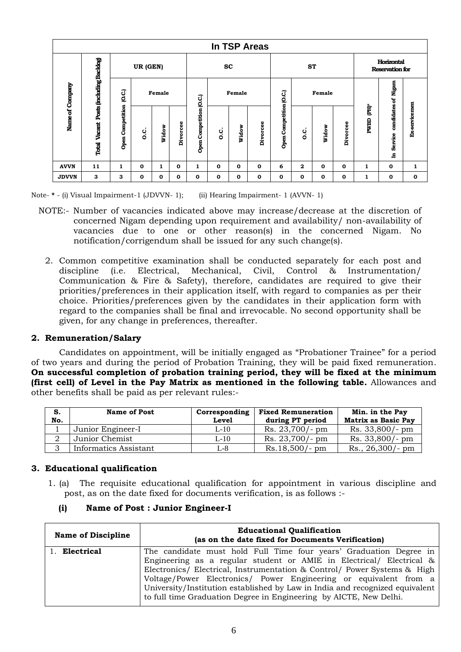|                 | In TSP Areas              |                         |             |        |             |                     |              |              |          |                         |                                      |       |          |                     |              |               |
|-----------------|---------------------------|-------------------------|-------------|--------|-------------|---------------------|--------------|--------------|----------|-------------------------|--------------------------------------|-------|----------|---------------------|--------------|---------------|
|                 | Posts (including Backlog) | UR (GEN)                |             |        | <b>SC</b>   |                     |              | <b>ST</b>    |          |                         | Horizontal<br><b>Reservation for</b> |       |          |                     |              |               |
| Name of Company |                           | O.C.)                   |             | Female | O.C.)       |                     | Female       |              |          |                         | Female                               |       |          | candidates of Nigam |              |               |
|                 | Vacant<br>Total           | <b>Open Competition</b> | c.          | Widow  | Divorcee    | Competition<br>Open | ن<br>ة       | Widow        | Divorcee | Open Competition (O.C.) | c.<br>o                              | Widow | Divorcee | È<br><b>PWBD</b>    | Service<br>£ | Ex-servicemen |
| <b>AVVN</b>     | 11                        | 1                       | $\Omega$    | 1      | $\mathbf 0$ | 1                   | $\mathbf{o}$ | $\mathbf{o}$ | 0        | 6                       | 2                                    | 0     | 0        | 1                   | 0            | 1             |
| <b>JDVVN</b>    | 3                         | З                       | $\mathbf 0$ | 0      | 0           | 0                   | $\mathbf{o}$ | $\mathbf{o}$ | 0        | 0                       | 0                                    | 0     | 0        | 1                   | 0            | 0             |

Note- **\*** - (i) Visual Impairment-1 (JDVVN- 1); (ii) Hearing Impairment- 1 (AVVN- 1)

- NOTE:- Number of vacancies indicated above may increase/decrease at the discretion of concerned Nigam depending upon requirement and availability/ non-availability of vacancies due to one or other reason(s) in the concerned Nigam. No notification/corrigendum shall be issued for any such change(s).
	- 2. Common competitive examination shall be conducted separately for each post and discipline (i.e. Electrical, Mechanical, Civil, Control & Instrumentation/ Communication & Fire & Safety), therefore, candidates are required to give their priorities/preferences in their application itself, with regard to companies as per their choice. Priorities/preferences given by the candidates in their application form with regard to the companies shall be final and irrevocable. No second opportunity shall be given, for any change in preferences, thereafter.

# **2. Remuneration/Salary**

Candidates on appointment, will be initially engaged as "Probationer Trainee" for a period of two years and during the period of Probation Training, they will be paid fixed remuneration. **On successful completion of probation training period, they will be fixed at the minimum (first cell) of Level in the Pay Matrix as mentioned in the following table.** Allowances and other benefits shall be paid as per relevant rules:-

| S.<br>No. | <b>Name of Post</b>   | Corresponding<br><b>Level</b> | <b>Fixed Remuneration</b><br>during PT period | Min. in the Pay<br>Matrix as Basic Pay |
|-----------|-----------------------|-------------------------------|-----------------------------------------------|----------------------------------------|
|           | Junior Engineer-I     | $L-10$                        | $Rs. 23,700/- pm$                             | Rs. 33,800/- pm                        |
|           | Junior Chemist        | $L-10$                        | $Rs. 23,700/- pm$                             | Rs. 33,800/- pm                        |
|           | Informatics Assistant | L-8                           | $Rs.18,500/- pm$                              | $Rs., 26,300/- pm$                     |

# **3. Educational qualification**

1. (a) The requisite educational qualification for appointment in various discipline and post, as on the date fixed for documents verification, is as follows :-

| <b>Name of Discipline</b> | <b>Educational Qualification</b><br>(as on the date fixed for Documents Verification)                                                                                                                                                                                                                                                                                                                                                             |
|---------------------------|---------------------------------------------------------------------------------------------------------------------------------------------------------------------------------------------------------------------------------------------------------------------------------------------------------------------------------------------------------------------------------------------------------------------------------------------------|
| 1. Electrical             | The candidate must hold Full Time four years' Graduation Degree in<br>Engineering as a regular student or AMIE in Electrical/ Electrical &<br>Electronics/ Electrical, Instrumentation & Control/ Power Systems & High<br>Voltage/Power Electronics/ Power Engineering or equivalent from a<br>University/Institution established by Law in India and recognized equivalent<br>to full time Graduation Degree in Engineering by AICTE, New Delhi. |

# **(i) Name of Post : Junior Engineer-I**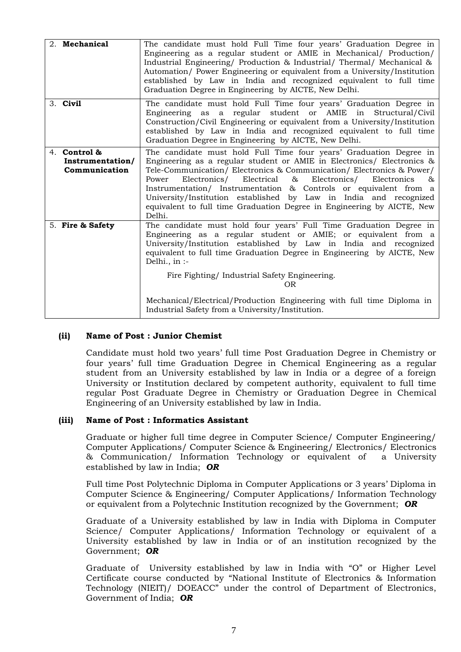| 2. Mechanical                                     | The candidate must hold Full Time four years' Graduation Degree in<br>Engineering as a regular student or AMIE in Mechanical/ Production/<br>Industrial Engineering/ Production & Industrial/ Thermal/ Mechanical &<br>Automation/ Power Engineering or equivalent from a University/Institution<br>established by Law in India and recognized equivalent to full time<br>Graduation Degree in Engineering by AICTE, New Delhi.                                                                                                     |
|---------------------------------------------------|-------------------------------------------------------------------------------------------------------------------------------------------------------------------------------------------------------------------------------------------------------------------------------------------------------------------------------------------------------------------------------------------------------------------------------------------------------------------------------------------------------------------------------------|
| 3. Civil                                          | The candidate must hold Full Time four years' Graduation Degree in<br>Engineering as a regular student or AMIE in Structural/Civil<br>Construction/Civil Engineering or equivalent from a University/Institution<br>established by Law in India and recognized equivalent to full time<br>Graduation Degree in Engineering by AICTE, New Delhi.                                                                                                                                                                                     |
| 4. Control &<br>Instrumentation/<br>Communication | The candidate must hold Full Time four years' Graduation Degree in<br>Engineering as a regular student or AMIE in Electronics/ Electronics &<br>Tele-Communication/ Electronics & Communication/ Electronics & Power/<br>Electronics/<br>Electrical<br>&<br>Electronics/<br>Power<br>Electronics<br>85<br>Instrumentation/ Instrumentation & Controls or equivalent from a<br>University/Institution established by Law in India and recognized<br>equivalent to full time Graduation Degree in Engineering by AICTE, New<br>Delhi. |
| 5. Fire & Safety                                  | The candidate must hold four years' Full Time Graduation Degree in<br>Engineering as a regular student or AMIE; or equivalent from a<br>University/Institution established by Law in India and recognized<br>equivalent to full time Graduation Degree in Engineering by AICTE, New<br>Delhi., in $:$                                                                                                                                                                                                                               |
|                                                   | Fire Fighting/Industrial Safety Engineering.<br>0 <sub>R</sub>                                                                                                                                                                                                                                                                                                                                                                                                                                                                      |
|                                                   | Mechanical/Electrical/Production Engineering with full time Diploma in<br>Industrial Safety from a University/Institution.                                                                                                                                                                                                                                                                                                                                                                                                          |

# **(ii) Name of Post : Junior Chemist**

Candidate must hold two years' full time Post Graduation Degree in Chemistry or four years' full time Graduation Degree in Chemical Engineering as a regular student from an University established by law in India or a degree of a foreign University or Institution declared by competent authority, equivalent to full time regular Post Graduate Degree in Chemistry or Graduation Degree in Chemical Engineering of an University established by law in India.

# **(iii) Name of Post : Informatics Assistant**

Graduate or higher full time degree in Computer Science/ Computer Engineering/ Computer Applications/ Computer Science & Engineering/ Electronics/ Electronics & Communication/ Information Technology or equivalent of a University established by law in India; *OR*

Full time Post Polytechnic Diploma in Computer Applications or 3 years' Diploma in Computer Science & Engineering/ Computer Applications/ Information Technology or equivalent from a Polytechnic Institution recognized by the Government; *OR*

Graduate of a University established by law in India with Diploma in Computer Science/ Computer Applications/ Information Technology or equivalent of a University established by law in India or of an institution recognized by the Government; *OR*

Graduate of University established by law in India with "O" or Higher Level Certificate course conducted by "National Institute of Electronics & Information Technology (NIEIT)/ DOEACC" under the control of Department of Electronics, Government of India; *OR*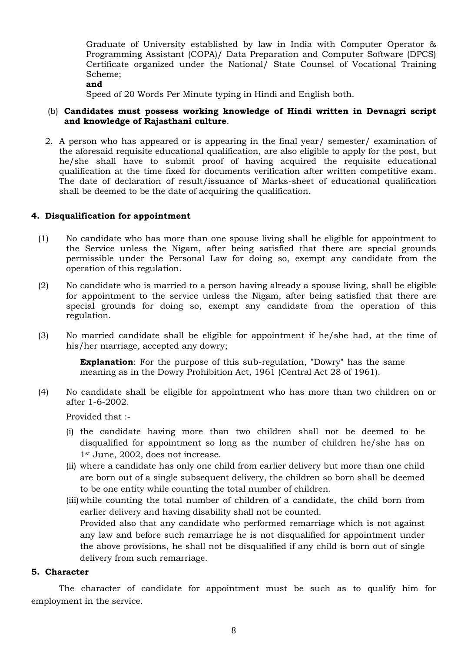Graduate of University established by law in India with Computer Operator & Programming Assistant (COPA)/ Data Preparation and Computer Software (DPCS) Certificate organized under the National/ State Counsel of Vocational Training Scheme;

**and**

Speed of 20 Words Per Minute typing in Hindi and English both.

# (b) **Candidates must possess working knowledge of Hindi written in Devnagri script and knowledge of Rajasthani culture**.

2. A person who has appeared or is appearing in the final year/ semester/ examination of the aforesaid requisite educational qualification, are also eligible to apply for the post, but he/she shall have to submit proof of having acquired the requisite educational qualification at the time fixed for documents verification after written competitive exam. The date of declaration of result/issuance of Marks-sheet of educational qualification shall be deemed to be the date of acquiring the qualification.

# **4. Disqualification for appointment**

- (1) No candidate who has more than one spouse living shall be eligible for appointment to the Service unless the Nigam, after being satisfied that there are special grounds permissible under the Personal Law for doing so, exempt any candidate from the operation of this regulation.
- (2) No candidate who is married to a person having already a spouse living, shall be eligible for appointment to the service unless the Nigam, after being satisfied that there are special grounds for doing so, exempt any candidate from the operation of this regulation.
- (3) No married candidate shall be eligible for appointment if he/she had, at the time of his/her marriage, accepted any dowry;

**Explanation**: For the purpose of this sub-regulation, "Dowry" has the same meaning as in the Dowry Prohibition Act, 1961 (Central Act 28 of 1961).

(4) No candidate shall be eligible for appointment who has more than two children on or after 1-6-2002.

Provided that :-

- (i) the candidate having more than two children shall not be deemed to be disqualified for appointment so long as the number of children he/she has on 1st June, 2002, does not increase.
- (ii) where a candidate has only one child from earlier delivery but more than one child are born out of a single subsequent delivery, the children so born shall be deemed to be one entity while counting the total number of children.
- (iii)while counting the total number of children of a candidate, the child born from earlier delivery and having disability shall not be counted. Provided also that any candidate who performed remarriage which is not against any law and before such remarriage he is not disqualified for appointment under the above provisions, he shall not be disqualified if any child is born out of single delivery from such remarriage.

### **5. Character**

The character of candidate for appointment must be such as to qualify him for employment in the service.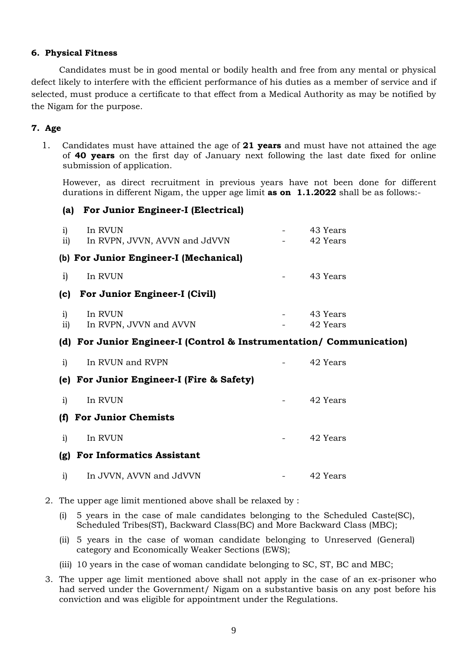# **6. Physical Fitness**

Candidates must be in good mental or bodily health and free from any mental or physical defect likely to interfere with the efficient performance of his duties as a member of service and if selected, must produce a certificate to that effect from a Medical Authority as may be notified by the Nigam for the purpose.

# **7. Age**

1. Candidates must have attained the age of **21 years** and must have not attained the age of **40 years** on the first day of January next following the last date fixed for online submission of application.

However, as direct recruitment in previous years have not been done for different durations in different Nigam, the upper age limit **as on 1.1.2022** shall be as follows:-

# **(a) For Junior Engineer-I (Electrical)**

| $\mathbf{i}$<br>$\overline{11}$ | In RVUN<br>In RVPN, JVVN, AVVN and JdVVN                             | 43 Years<br>42 Years |
|---------------------------------|----------------------------------------------------------------------|----------------------|
|                                 | (b) For Junior Engineer-I (Mechanical)                               |                      |
| $\mathbf{i}$                    | In RVUN                                                              | 43 Years             |
| (c)                             | For Junior Engineer-I (Civil)                                        |                      |
| i)<br>ii)                       | In RVUN<br>In RVPN, JVVN and AVVN                                    | 43 Years<br>42 Years |
|                                 | (d) For Junior Engineer-I (Control & Instrumentation/ Communication) |                      |
| $\mathbf{i}$                    | In RVUN and RVPN                                                     | 42 Years             |
|                                 | (e) For Junior Engineer-I (Fire & Safety)                            |                      |
| i)                              | In RVUN                                                              | 42 Years             |
| (f)                             | <b>For Junior Chemists</b>                                           |                      |
| i)                              | In RVUN                                                              | 42 Years             |
| (g)                             | <b>For Informatics Assistant</b>                                     |                      |
| i)                              | In JVVN, AVVN and JdVVN                                              | 42 Years             |

- 2. The upper age limit mentioned above shall be relaxed by :
	- (i) 5 years in the case of male candidates belonging to the Scheduled Caste(SC), Scheduled Tribes(ST), Backward Class(BC) and More Backward Class (MBC);
	- (ii) 5 years in the case of woman candidate belonging to Unreserved (General) category and Economically Weaker Sections (EWS);
	- (iii) 10 years in the case of woman candidate belonging to SC, ST, BC and MBC;
- 3. The upper age limit mentioned above shall not apply in the case of an ex-prisoner who had served under the Government/ Nigam on a substantive basis on any post before his conviction and was eligible for appointment under the Regulations.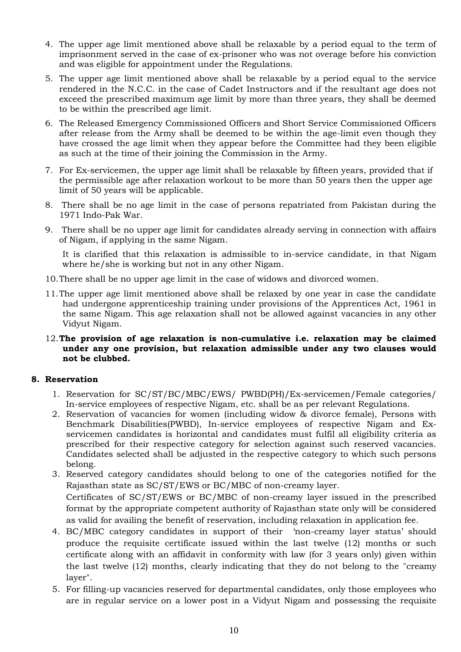- 4. The upper age limit mentioned above shall be relaxable by a period equal to the term of imprisonment served in the case of ex-prisoner who was not overage before his conviction and was eligible for appointment under the Regulations.
- 5. The upper age limit mentioned above shall be relaxable by a period equal to the service rendered in the N.C.C. in the case of Cadet Instructors and if the resultant age does not exceed the prescribed maximum age limit by more than three years, they shall be deemed to be within the prescribed age limit.
- 6. The Released Emergency Commissioned Officers and Short Service Commissioned Officers after release from the Army shall be deemed to be within the age-limit even though they have crossed the age limit when they appear before the Committee had they been eligible as such at the time of their joining the Commission in the Army.
- 7. For Ex-servicemen, the upper age limit shall be relaxable by fifteen years, provided that if the permissible age after relaxation workout to be more than 50 years then the upper age limit of 50 years will be applicable.
- 8. There shall be no age limit in the case of persons repatriated from Pakistan during the 1971 Indo-Pak War.
- 9. There shall be no upper age limit for candidates already serving in connection with affairs of Nigam, if applying in the same Nigam.

It is clarified that this relaxation is admissible to in-service candidate, in that Nigam where he/she is working but not in any other Nigam.

- 10.There shall be no upper age limit in the case of widows and divorced women.
- 11.The upper age limit mentioned above shall be relaxed by one year in case the candidate had undergone apprenticeship training under provisions of the Apprentices Act, 1961 in the same Nigam. This age relaxation shall not be allowed against vacancies in any other Vidyut Nigam.
- 12.**The provision of age relaxation is non-cumulative i.e. relaxation may be claimed under any one provision, but relaxation admissible under any two clauses would not be clubbed.**

# **8. Reservation**

- 1. Reservation for SC/ST/BC/MBC/EWS/ PWBD(PH)/Ex-servicemen/Female categories/ In-service employees of respective Nigam, etc. shall be as per relevant Regulations.
- 2. Reservation of vacancies for women (including widow & divorce female), Persons with Benchmark Disabilities(PWBD), In-service employees of respective Nigam and Exservicemen candidates is horizontal and candidates must fulfil all eligibility criteria as prescribed for their respective category for selection against such reserved vacancies. Candidates selected shall be adjusted in the respective category to which such persons belong.
- 3. Reserved category candidates should belong to one of the categories notified for the Rajasthan state as SC/ST/EWS or BC/MBC of non-creamy layer. Certificates of SC/ST/EWS or BC/MBC of non-creamy layer issued in the prescribed format by the appropriate competent authority of Rajasthan state only will be considered as valid for availing the benefit of reservation, including relaxation in application fee.
- 4. BC/MBC category candidates in support of their 'non-creamy layer status' should produce the requisite certificate issued within the last twelve (12) months or such certificate along with an affidavit in conformity with law (for 3 years only) given within the last twelve (12) months, clearly indicating that they do not belong to the "creamy layer".
- 5. For filling-up vacancies reserved for departmental candidates, only those employees who are in regular service on a lower post in a Vidyut Nigam and possessing the requisite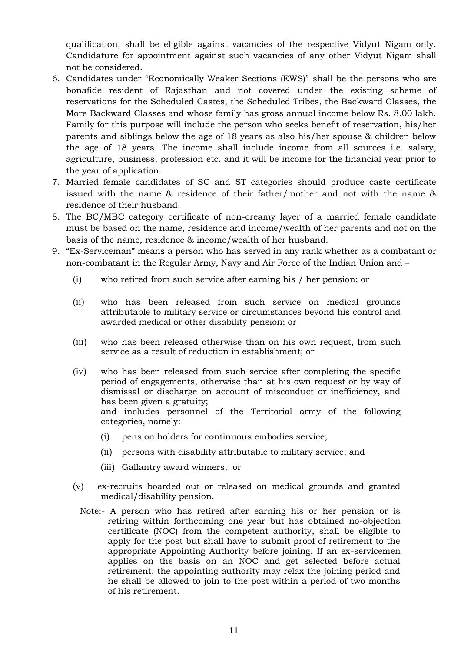qualification, shall be eligible against vacancies of the respective Vidyut Nigam only. Candidature for appointment against such vacancies of any other Vidyut Nigam shall not be considered.

- 6. Candidates under "Economically Weaker Sections (EWS)" shall be the persons who are bonafide resident of Rajasthan and not covered under the existing scheme of reservations for the Scheduled Castes, the Scheduled Tribes, the Backward Classes, the More Backward Classes and whose family has gross annual income below Rs. 8.00 lakh. Family for this purpose will include the person who seeks benefit of reservation, his/her parents and siblings below the age of 18 years as also his/her spouse & children below the age of 18 years. The income shall include income from all sources i.e. salary, agriculture, business, profession etc. and it will be income for the financial year prior to the year of application.
- 7. Married female candidates of SC and ST categories should produce caste certificate issued with the name & residence of their father/mother and not with the name & residence of their husband.
- 8. The BC/MBC category certificate of non-creamy layer of a married female candidate must be based on the name, residence and income/wealth of her parents and not on the basis of the name, residence & income/wealth of her husband.
- 9. "Ex-Serviceman" means a person who has served in any rank whether as a combatant or non-combatant in the Regular Army, Navy and Air Force of the Indian Union and –
	- (i) who retired from such service after earning his / her pension; or
	- (ii) who has been released from such service on medical grounds attributable to military service or circumstances beyond his control and awarded medical or other disability pension; or
	- (iii) who has been released otherwise than on his own request, from such service as a result of reduction in establishment; or
	- (iv) who has been released from such service after completing the specific period of engagements, otherwise than at his own request or by way of dismissal or discharge on account of misconduct or inefficiency, and has been given a gratuity; and includes personnel of the Territorial army of the following categories, namely:-
		- (i) pension holders for continuous embodies service;
		- (ii) persons with disability attributable to military service; and
		- (iii) Gallantry award winners, or
	- (v) ex-recruits boarded out or released on medical grounds and granted medical/disability pension.
		- Note:- A person who has retired after earning his or her pension or is retiring within forthcoming one year but has obtained no-objection certificate (NOC) from the competent authority, shall be eligible to apply for the post but shall have to submit proof of retirement to the appropriate Appointing Authority before joining. If an ex-servicemen applies on the basis on an NOC and get selected before actual retirement, the appointing authority may relax the joining period and he shall be allowed to join to the post within a period of two months of his retirement.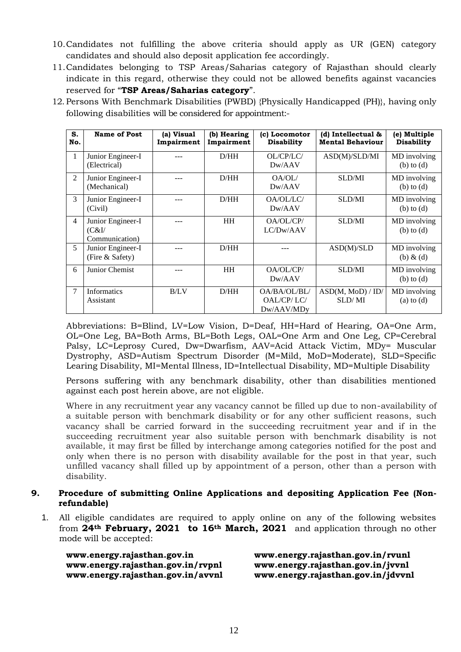- 10.Candidates not fulfilling the above criteria should apply as UR (GEN) category candidates and should also deposit application fee accordingly.
- 11.Candidates belonging to TSP Areas/Saharias category of Rajasthan should clearly indicate in this regard, otherwise they could not be allowed benefits against vacancies reserved for "**TSP Areas/Saharias category**".
- 12. Persons With Benchmark Disabilities (PWBD) {Physically Handicapped (PH)}, having only following disabilities will be considered for appointment:-

| S.<br>No.      | <b>Name of Post</b>                           | (a) Visual<br>Impairment | (b) Hearing<br>Impairment | (c) Locomotor<br><b>Disability</b>       | (d) Intellectual &<br><b>Mental Behaviour</b> | (e) Multiple<br><b>Disability</b> |
|----------------|-----------------------------------------------|--------------------------|---------------------------|------------------------------------------|-----------------------------------------------|-----------------------------------|
|                | Junior Engineer-I<br>(Electrical)             |                          | D/HH                      | OL/CP/LC/<br>Dw/AAV                      | ASD(M)/SLD/MI                                 | MD involving<br>$(b)$ to $(d)$    |
| 2              | Junior Engineer-I<br>(Mechanical)             |                          | D/HH                      | OA/OL/<br>Dw/AAV                         | <b>SLD/MI</b>                                 | MD involving<br>$(b)$ to $(d)$    |
| 3              | Junior Engineer-I<br>(Civil)                  |                          | D/HH                      | OA/OL/LC/<br>Dw/AAV                      | <b>SLD/MI</b>                                 | MD involving<br>$(b)$ to $(d)$    |
| $\overline{4}$ | Junior Engineer-I<br>(C&I)'<br>Communication) |                          | HH                        | OA/OL/CP/<br>LC/Dw/AAV                   | SLD/MI                                        | MD involving<br>$(b)$ to $(d)$    |
| 5 <sup>5</sup> | Junior Engineer-I<br>(Fire & Safety)          |                          | D/HH                      |                                          | ASD(M)/SLD                                    | MD involving<br>$(b) \& (d)$      |
| 6              | Junior Chemist                                | ---                      | HH                        | OA/OL/CP/<br>Dw/AAV                      | SLD/MI                                        | MD involving<br>$(b)$ to $(d)$    |
| 7              | <b>Informatics</b><br>Assistant               | B/LV                     | D/HH                      | OA/BA/OL/BL/<br>OAL/CP/LC/<br>Dw/AAV/MDy | ASD(M, MOD) / ID/<br>SLD/MI                   | MD involving<br>$(a)$ to $(d)$    |

Abbreviations: B=Blind, LV=Low Vision, D=Deaf, HH=Hard of Hearing, OA=One Arm, OL=One Leg, BA=Both Arms, BL=Both Legs, OAL=One Arm and One Leg, CP=Cerebral Palsy, LC=Leprosy Cured, Dw=Dwarfism, AAV=Acid Attack Victim, MDy= Muscular Dystrophy, ASD=Autism Spectrum Disorder (M=Mild, MoD=Moderate), SLD=Specific Learing Disability, MI=Mental Illness, ID=Intellectual Disability, MD=Multiple Disability

Persons suffering with any benchmark disability, other than disabilities mentioned against each post herein above, are not eligible.

Where in any recruitment year any vacancy cannot be filled up due to non-availability of a suitable person with benchmark disability or for any other sufficient reasons, such vacancy shall be carried forward in the succeeding recruitment year and if in the succeeding recruitment year also suitable person with benchmark disability is not available, it may first be filled by interchange among categories notified for the post and only when there is no person with disability available for the post in that year, such unfilled vacancy shall filled up by appointment of a person, other than a person with disability.

# **9. Procedure of submitting Online Applications and depositing Application Fee (Nonrefundable)**

1. All eligible candidates are required to apply online on any of the following websites from **24th February, 2021 to 16th March, 2021** and application through no other mode will be accepted:

**www.energy.rajasthan.gov.in/rvpnl www.energy.rajasthan.gov.in/jvvnl** 

**www.energy.rajasthan.gov.in www.energy.rajasthan.gov.in/rvunl www.energy.rajasthan.gov.in/avvnl [www.energy.rajasthan.gov.in/jdvvnl](http://www.energy.rajasthan.gov.in/jdvvnl)**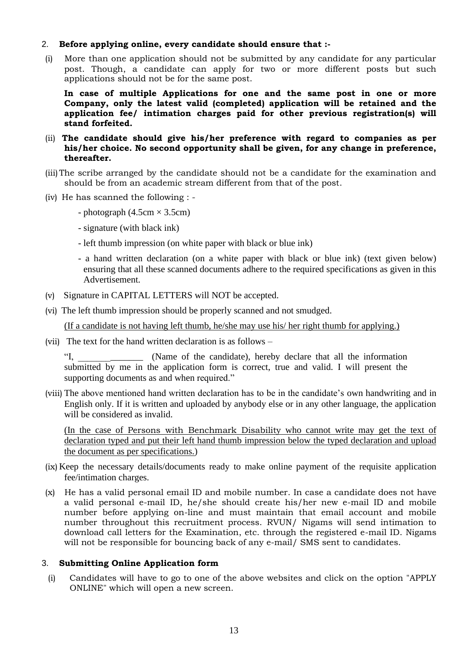### 2. **Before applying online, every candidate should ensure that :-**

(i) More than one application should not be submitted by any candidate for any particular post. Though, a candidate can apply for two or more different posts but such applications should not be for the same post.

**In case of multiple Applications for one and the same post in one or more Company, only the latest valid (completed) application will be retained and the application fee/ intimation charges paid for other previous registration(s) will stand forfeited.**

- (ii) **The candidate should give his/her preference with regard to companies as per his/her choice. No second opportunity shall be given, for any change in preference, thereafter.**
- (iii)The scribe arranged by the candidate should not be a candidate for the examination and should be from an academic stream different from that of the post.
- (iv) He has scanned the following :
	- photograph  $(4.5cm \times 3.5cm)$
	- signature (with black ink)
	- left thumb impression (on white paper with black or blue ink)
	- a hand written declaration (on a white paper with black or blue ink) (text given below) ensuring that all these scanned documents adhere to the required specifications as given in this Advertisement.
- (v) Signature in CAPITAL LETTERS will NOT be accepted.
- (vi) The left thumb impression should be properly scanned and not smudged.

(If a candidate is not having left thumb, he/she may use his/ her right thumb for applying.)

(vii) The text for the hand written declaration is as follows –

"I, (Name of the candidate), hereby declare that all the information submitted by me in the application form is correct, true and valid. I will present the supporting documents as and when required."

(viii) The above mentioned hand written declaration has to be in the candidate's own handwriting and in English only. If it is written and uploaded by anybody else or in any other language, the application will be considered as invalid.

(In the case of Persons with Benchmark Disability who cannot write may get the text of declaration typed and put their left hand thumb impression below the typed declaration and upload the document as per specifications.)

- (ix) Keep the necessary details/documents ready to make online payment of the requisite application fee/intimation charges.
- (x) He has a valid personal email ID and mobile number. In case a candidate does not have a valid personal e-mail ID, he/she should create his/her new e-mail ID and mobile number before applying on-line and must maintain that email account and mobile number throughout this recruitment process. RVUN/ Nigams will send intimation to download call letters for the Examination, etc. through the registered e-mail ID. Nigams will not be responsible for bouncing back of any e-mail/ SMS sent to candidates.

#### 3. **Submitting Online Application form**

(i) Candidates will have to go to one of the above websites and click on the option "APPLY ONLINE" which will open a new screen.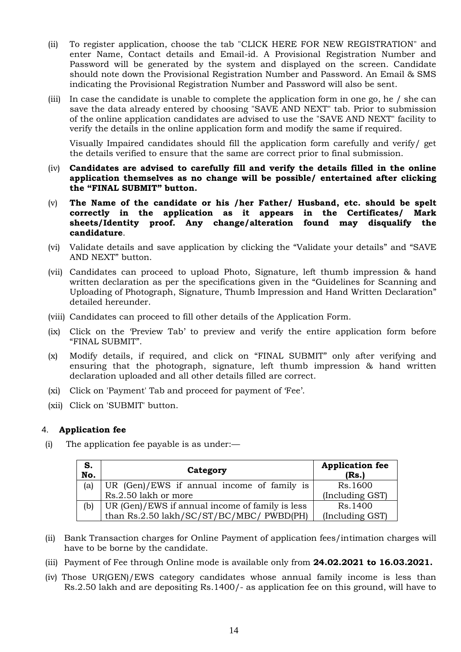- (ii) To register application, choose the tab "CLICK HERE FOR NEW REGISTRATION" and enter Name, Contact details and Email-id. A Provisional Registration Number and Password will be generated by the system and displayed on the screen. Candidate should note down the Provisional Registration Number and Password. An Email & SMS indicating the Provisional Registration Number and Password will also be sent.
- (iii) In case the candidate is unable to complete the application form in one go, he / she can save the data already entered by choosing "SAVE AND NEXT" tab. Prior to submission of the online application candidates are advised to use the "SAVE AND NEXT" facility to verify the details in the online application form and modify the same if required.

Visually Impaired candidates should fill the application form carefully and verify/ get the details verified to ensure that the same are correct prior to final submission.

- (iv) **Candidates are advised to carefully fill and verify the details filled in the online application themselves as no change will be possible/ entertained after clicking the "FINAL SUBMIT" button.**
- (v) **The Name of the candidate or his /her Father/ Husband, etc. should be spelt correctly in the application as it appears in the Certificates/ Mark sheets/Identity proof. Any change/alteration found may disqualify the candidature**.
- (vi) Validate details and save application by clicking the "Validate your details" and "SAVE AND NEXT" button.
- (vii) Candidates can proceed to upload Photo, Signature, left thumb impression & hand written declaration as per the specifications given in the "Guidelines for Scanning and Uploading of Photograph, Signature, Thumb Impression and Hand Written Declaration" detailed hereunder.
- (viii) Candidates can proceed to fill other details of the Application Form.
- (ix) Click on the 'Preview Tab' to preview and verify the entire application form before "FINAL SUBMIT".
- (x) Modify details, if required, and click on "FINAL SUBMIT" only after verifying and ensuring that the photograph, signature, left thumb impression & hand written declaration uploaded and all other details filled are correct.
- (xi) Click on 'Payment' Tab and proceed for payment of 'Fee'.
- (xii) Click on 'SUBMIT' button.

# 4. **Application fee**

(i) The application fee payable is as under:—

| S.<br>No. | Category                                        | <b>Application fee</b><br>(Rs.) |
|-----------|-------------------------------------------------|---------------------------------|
| (a)       | UR (Gen)/EWS if annual income of family is      | Rs.1600                         |
|           | Rs.2.50 lakh or more                            | (Including GST)                 |
| (b)       | UR (Gen)/EWS if annual income of family is less | Rs.1400                         |
|           | than Rs.2.50 lakh/SC/ST/BC/MBC/ PWBD(PH)        | (Including GST)                 |

- (ii) Bank Transaction charges for Online Payment of application fees/intimation charges will have to be borne by the candidate.
- (iii) Payment of Fee through Online mode is available only from **24.02.2021 to 16.03.2021.**
- (iv) Those UR(GEN)/EWS category candidates whose annual family income is less than Rs.2.50 lakh and are depositing Rs.1400/- as application fee on this ground, will have to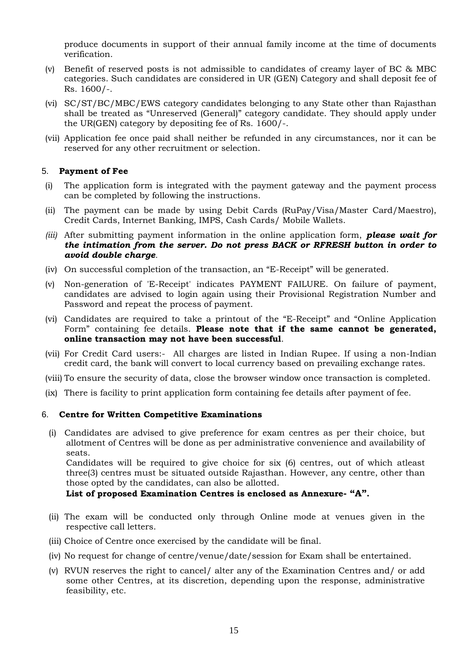produce documents in support of their annual family income at the time of documents verification.

- (v) Benefit of reserved posts is not admissible to candidates of creamy layer of BC & MBC categories. Such candidates are considered in UR (GEN) Category and shall deposit fee of Rs. 1600/-.
- (vi) SC/ST/BC/MBC/EWS category candidates belonging to any State other than Rajasthan shall be treated as "Unreserved (General)" category candidate. They should apply under the UR(GEN) category by depositing fee of Rs. 1600/-.
- (vii) Application fee once paid shall neither be refunded in any circumstances, nor it can be reserved for any other recruitment or selection.

### 5. **Payment of Fee**

- (i) The application form is integrated with the payment gateway and the payment process can be completed by following the instructions.
- (ii) The payment can be made by using Debit Cards (RuPay/Visa/Master Card/Maestro), Credit Cards, Internet Banking, IMPS, Cash Cards/ Mobile Wallets.
- *(iii)* After submitting payment information in the online application form, *please wait for the intimation from the server. Do not press BACK or RFRESH button in order to avoid double charge.*
- (iv) On successful completion of the transaction, an "E-Receipt" will be generated.
- (v) Non-generation of 'E-Receipt' indicates PAYMENT FAILURE. On failure of payment, candidates are advised to login again using their Provisional Registration Number and Password and repeat the process of payment.
- (vi) Candidates are required to take a printout of the "E-Receipt" and "Online Application Form" containing fee details. **Please note that if the same cannot be generated, online transaction may not have been successful**.
- (vii) For Credit Card users:- All charges are listed in Indian Rupee. If using a non-Indian credit card, the bank will convert to local currency based on prevailing exchange rates.
- (viii) To ensure the security of data, close the browser window once transaction is completed.
- (ix) There is facility to print application form containing fee details after payment of fee.

#### 6. **Centre for Written Competitive Examinations**

(i) Candidates are advised to give preference for exam centres as per their choice, but allotment of Centres will be done as per administrative convenience and availability of seats.

Candidates will be required to give choice for six (6) centres, out of which atleast three(3) centres must be situated outside Rajasthan. However, any centre, other than those opted by the candidates, can also be allotted.

**List of proposed Examination Centres is enclosed as Annexure- "A".**

- (ii) The exam will be conducted only through Online mode at venues given in the respective call letters.
- (iii) Choice of Centre once exercised by the candidate will be final.
- (iv) No request for change of centre/venue/date/session for Exam shall be entertained.
- (v) RVUN reserves the right to cancel/ alter any of the Examination Centres and/ or add some other Centres, at its discretion, depending upon the response, administrative feasibility, etc.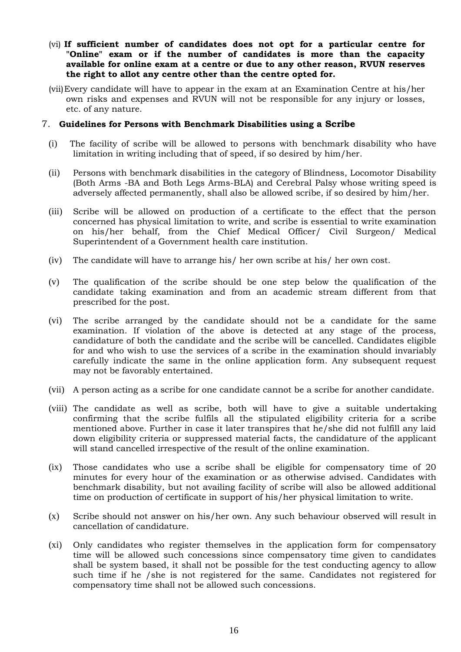- (vi) **If sufficient number of candidates does not opt for a particular centre for "Online" exam or if the number of candidates is more than the capacity available for online exam at a centre or due to any other reason, RVUN reserves the right to allot any centre other than the centre opted for.**
- (vii)Every candidate will have to appear in the exam at an Examination Centre at his/her own risks and expenses and RVUN will not be responsible for any injury or losses, etc. of any nature.

#### 7. **Guidelines for Persons with Benchmark Disabilities using a Scribe**

- (i) The facility of scribe will be allowed to persons with benchmark disability who have limitation in writing including that of speed, if so desired by him/her.
- (ii) Persons with benchmark disabilities in the category of Blindness, Locomotor Disability (Both Arms -BA and Both Legs Arms-BLA) and Cerebral Palsy whose writing speed is adversely affected permanently, shall also be allowed scribe, if so desired by him/her.
- (iii) Scribe will be allowed on production of a certificate to the effect that the person concerned has physical limitation to write, and scribe is essential to write examination on his/her behalf, from the Chief Medical Officer/ Civil Surgeon/ Medical Superintendent of a Government health care institution.
- (iv) The candidate will have to arrange his/ her own scribe at his/ her own cost.
- (v) The qualification of the scribe should be one step below the qualification of the candidate taking examination and from an academic stream different from that prescribed for the post.
- (vi) The scribe arranged by the candidate should not be a candidate for the same examination. If violation of the above is detected at any stage of the process, candidature of both the candidate and the scribe will be cancelled. Candidates eligible for and who wish to use the services of a scribe in the examination should invariably carefully indicate the same in the online application form. Any subsequent request may not be favorably entertained.
- (vii) A person acting as a scribe for one candidate cannot be a scribe for another candidate.
- (viii) The candidate as well as scribe, both will have to give a suitable undertaking confirming that the scribe fulfils all the stipulated eligibility criteria for a scribe mentioned above. Further in case it later transpires that he/she did not fulfill any laid down eligibility criteria or suppressed material facts, the candidature of the applicant will stand cancelled irrespective of the result of the online examination.
- (ix) Those candidates who use a scribe shall be eligible for compensatory time of 20 minutes for every hour of the examination or as otherwise advised. Candidates with benchmark disability, but not availing facility of scribe will also be allowed additional time on production of certificate in support of his/her physical limitation to write.
- (x) Scribe should not answer on his/her own. Any such behaviour observed will result in cancellation of candidature.
- (xi) Only candidates who register themselves in the application form for compensatory time will be allowed such concessions since compensatory time given to candidates shall be system based, it shall not be possible for the test conducting agency to allow such time if he /she is not registered for the same. Candidates not registered for compensatory time shall not be allowed such concessions.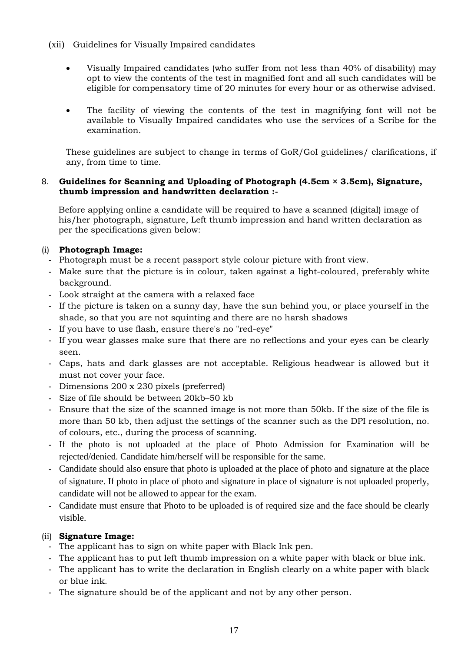- (xii) Guidelines for Visually Impaired candidates
	- Visually Impaired candidates (who suffer from not less than 40% of disability) may opt to view the contents of the test in magnified font and all such candidates will be eligible for compensatory time of 20 minutes for every hour or as otherwise advised.
	- The facility of viewing the contents of the test in magnifying font will not be available to Visually Impaired candidates who use the services of a Scribe for the examination.

These guidelines are subject to change in terms of GoR/GoI guidelines/ clarifications, if any, from time to time.

# 8. **Guidelines for Scanning and Uploading of Photograph (4.5cm × 3.5cm), Signature, thumb impression and handwritten declaration :-**

Before applying online a candidate will be required to have a scanned (digital) image of his/her photograph, signature, Left thumb impression and hand written declaration as per the specifications given below:

# (i) **Photograph Image:**

- **-** Photograph must be a recent passport style colour picture with front view.
- **-** Make sure that the picture is in colour, taken against a light-coloured, preferably white background.
- **-** Look straight at the camera with a relaxed face
- **-** If the picture is taken on a sunny day, have the sun behind you, or place yourself in the shade, so that you are not squinting and there are no harsh shadows
- **-** If you have to use flash, ensure there's no "red-eye"
- **-** If you wear glasses make sure that there are no reflections and your eyes can be clearly seen.
- **-** Caps, hats and dark glasses are not acceptable. Religious headwear is allowed but it must not cover your face.
- **-** Dimensions 200 x 230 pixels (preferred)
- **-** Size of file should be between 20kb–50 kb
- **-** Ensure that the size of the scanned image is not more than 50kb. If the size of the file is more than 50 kb, then adjust the settings of the scanner such as the DPI resolution, no. of colours, etc., during the process of scanning.
- **-** If the photo is not uploaded at the place of Photo Admission for Examination will be rejected/denied. Candidate him/herself will be responsible for the same.
- **-** Candidate should also ensure that photo is uploaded at the place of photo and signature at the place of signature. If photo in place of photo and signature in place of signature is not uploaded properly, candidate will not be allowed to appear for the exam.
- **-** Candidate must ensure that Photo to be uploaded is of required size and the face should be clearly visible.

# (ii) **Signature Image:**

- **-** The applicant has to sign on white paper with Black Ink pen.
- **-** The applicant has to put left thumb impression on a white paper with black or blue ink.
- **-** The applicant has to write the declaration in English clearly on a white paper with black or blue ink.
- **-** The signature should be of the applicant and not by any other person.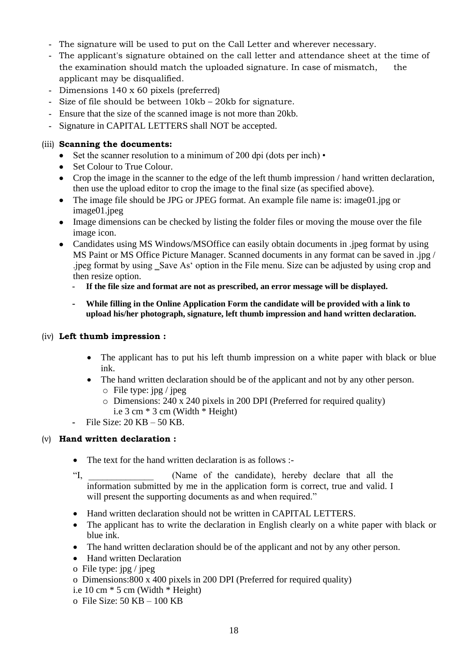- **-** The signature will be used to put on the Call Letter and wherever necessary.
- **-** The applicant's signature obtained on the call letter and attendance sheet at the time of the examination should match the uploaded signature. In case of mismatch, the applicant may be disqualified.
- **-** Dimensions 140 x 60 pixels (preferred)
- **-** Size of file should be between 10kb 20kb for signature.
- **-** Ensure that the size of the scanned image is not more than 20kb.
- **-** Signature in CAPITAL LETTERS shall NOT be accepted.

# (iii) **Scanning the documents:**

- Set the scanner resolution to a minimum of 200 dpi (dots per inch) •
- Set Colour to True Colour.
- Crop the image in the scanner to the edge of the left thumb impression / hand written declaration, then use the upload editor to crop the image to the final size (as specified above).
- The image file should be JPG or JPEG format. An example file name is: image01.jpg or image01.jpeg
- Image dimensions can be checked by listing the folder files or moving the mouse over the file image icon.
- Candidates using MS Windows/MSOffice can easily obtain documents in .jpeg format by using MS Paint or MS Office Picture Manager. Scanned documents in any format can be saved in .jpg / .jpeg format by using \_Save As' option in the File menu. Size can be adjusted by using crop and then resize option.
	- **- If the file size and format are not as prescribed, an error message will be displayed.**
	- **- While filling in the Online Application Form the candidate will be provided with a link to upload his/her photograph, signature, left thumb impression and hand written declaration.**

# (iv) **Left thumb impression :**

- The applicant has to put his left thumb impression on a white paper with black or blue ink.
- The hand written declaration should be of the applicant and not by any other person.  $\circ$  File type: jpg / jpeg
	- o Dimensions: 240 x 240 pixels in 200 DPI (Preferred for required quality)
		- i.e 3 cm \* 3 cm (Width \* Height)
- **-** File Size: 20 KB 50 KB.

# (v) **Hand written declaration :**

- The text for the hand written declaration is as follows :-
- "I, (Name of the candidate), hereby declare that all the information submitted by me in the application form is correct, true and valid. I will present the supporting documents as and when required."
- Hand written declaration should not be written in CAPITAL LETTERS.
- The applicant has to write the declaration in English clearly on a white paper with black or blue ink.
- The hand written declaration should be of the applicant and not by any other person.
- Hand written Declaration
- o File type: jpg / jpeg
- o Dimensions:800 x 400 pixels in 200 DPI (Preferred for required quality)
- i.e 10 cm \* 5 cm (Width \* Height)
- o File Size: 50 KB 100 KB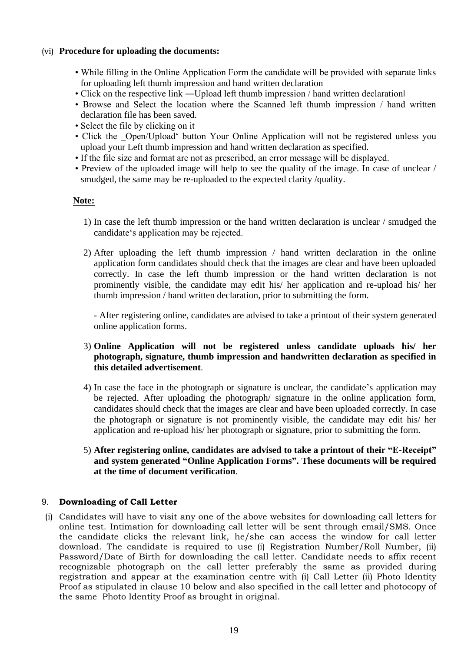# (vi) **Procedure for uploading the documents:**

- While filling in the Online Application Form the candidate will be provided with separate links for uploading left thumb impression and hand written declaration
- Click on the respective link —Upload left thumb impression / hand written declaration
- Browse and Select the location where the Scanned left thumb impression / hand written declaration file has been saved.
- Select the file by clicking on it
- Click the Open/Upload' button Your Online Application will not be registered unless you upload your Left thumb impression and hand written declaration as specified.
- If the file size and format are not as prescribed, an error message will be displayed.
- Preview of the uploaded image will help to see the quality of the image. In case of unclear / smudged, the same may be re-uploaded to the expected clarity /quality.

# **Note:**

- 1) In case the left thumb impression or the hand written declaration is unclear / smudged the candidate's application may be rejected.
- 2) After uploading the left thumb impression / hand written declaration in the online application form candidates should check that the images are clear and have been uploaded correctly. In case the left thumb impression or the hand written declaration is not prominently visible, the candidate may edit his/ her application and re-upload his/ her thumb impression / hand written declaration, prior to submitting the form.

- After registering online, candidates are advised to take a printout of their system generated online application forms.

# 3) **Online Application will not be registered unless candidate uploads his/ her photograph, signature, thumb impression and handwritten declaration as specified in this detailed advertisement**.

- 4) In case the face in the photograph or signature is unclear, the candidate's application may be rejected. After uploading the photograph/ signature in the online application form, candidates should check that the images are clear and have been uploaded correctly. In case the photograph or signature is not prominently visible, the candidate may edit his/ her application and re-upload his/ her photograph or signature, prior to submitting the form.
- 5) **After registering online, candidates are advised to take a printout of their "E-Receipt" and system generated "Online Application Forms". These documents will be required at the time of document verification**.

# 9. **Downloading of Call Letter**

(i) Candidates will have to visit any one of the above websites for downloading call letters for online test. Intimation for downloading call letter will be sent through email/SMS. Once the candidate clicks the relevant link, he/she can access the window for call letter download. The candidate is required to use (i) Registration Number/Roll Number, (ii) Password/Date of Birth for downloading the call letter. Candidate needs to affix recent recognizable photograph on the call letter preferably the same as provided during registration and appear at the examination centre with (i) Call Letter (ii) Photo Identity Proof as stipulated in clause 10 below and also specified in the call letter and photocopy of the same Photo Identity Proof as brought in original.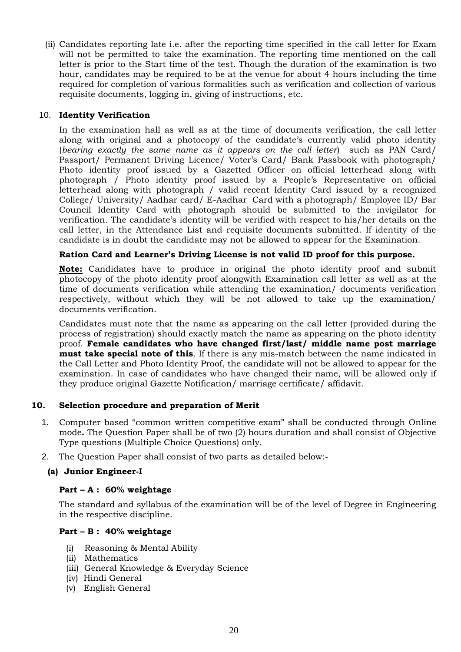(ii) Candidates reporting late i.e. after the reporting time specified in the call letter for Exam will not be permitted to take the examination. The reporting time mentioned on the call letter is prior to the Start time of the test. Though the duration of the examination is two hour, candidates may be required to be at the venue for about 4 hours including the time required for completion of various formalities such as verification and collection of various requisite documents, logging in, giving of instructions, etc.

### 10. **Identity Verification**

In the examination hall as well as at the time of documents verification, the call letter along with original and a photocopy of the candidate's currently valid photo identity (*bearing exactly the same name as it appears on the call letter*) such as PAN Card/ Passport/ Permanent Driving Licence/ Voter's Card/ Bank Passbook with photograph/ Photo identity proof issued by a Gazetted Officer on official letterhead along with photograph / Photo identity proof issued by a People's Representative on official letterhead along with photograph / valid recent Identity Card issued by a recognized College/ University/ Aadhar card/ E-Aadhar Card with a photograph/ Employee ID/ Bar Council Identity Card with photograph should be submitted to the invigilator for verification. The candidate's identity will be verified with respect to his/her details on the call letter, in the Attendance List and requisite documents submitted. If identity of the candidate is in doubt the candidate may not be allowed to appear for the Examination.

### **Ration Card and Learner's Driving License is not valid ID proof for this purpose.**

**Note:** Candidates have to produce in original the photo identity proof and submit photocopy of the photo identity proof alongwith Examination call letter as well as at the time of documents verification while attending the examination/ documents verification respectively, without which they will be not allowed to take up the examination/ documents verification.

Candidates must note that the name as appearing on the call letter (provided during the process of registration) should exactly match the name as appearing on the photo identity proof. **Female candidates who have changed first/last/ middle name post marriage must take special note of this**. If there is any mis-match between the name indicated in the Call Letter and Photo Identity Proof, the candidate will not be allowed to appear for the examination. In case of candidates who have changed their name, will be allowed only if they produce original Gazette Notification/ marriage certificate/ affidavit.

# **10. Selection procedure and preparation of Merit**

- 1. Computer based "common written competitive exam" shall be conducted through Online mode**.** The Question Paper shall be of two (2) hours duration and shall consist of Objective Type questions (Multiple Choice Questions) only.
- 2. The Question Paper shall consist of two parts as detailed below:-

#### **(a) Junior Engineer-I**

#### **Part – A : 60% weightage**

The standard and syllabus of the examination will be of the level of Degree in Engineering in the respective discipline.

#### **Part – B : 40% weightage**

- (i) Reasoning & Mental Ability
- (ii) Mathematics
- (iii) General Knowledge & Everyday Science
- (iv) Hindi General
- (v) English General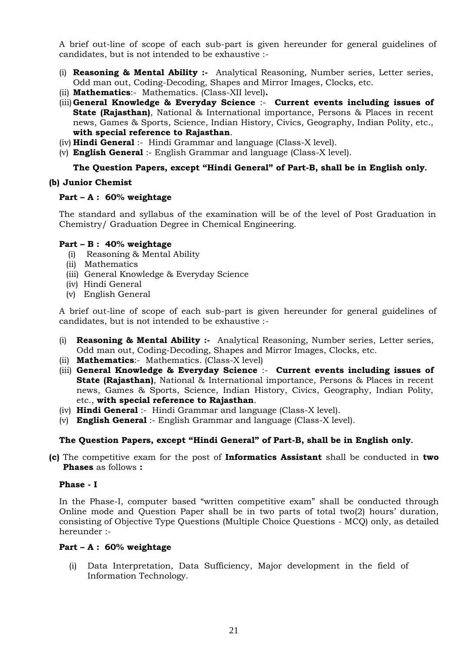A brief out-line of scope of each sub-part is given hereunder for general guidelines of candidates, but is not intended to be exhaustive :-

- (i) **Reasoning & Mental Ability :-** Analytical Reasoning, Number series, Letter series, Odd man out, Coding-Decoding, Shapes and Mirror Images, Clocks, etc.
- (ii) **Mathematics**:- Mathematics. (Class-XII level)**.**
- (iii)**General Knowledge & Everyday Science** :- **Current events including issues of State (Rajasthan)**, National & International importance, Persons & Places in recent news, Games & Sports, Science, Indian History, Civics, Geography, Indian Polity, etc., **with special reference to Rajasthan**.
- (iv) **Hindi General** :- Hindi Grammar and language (Class-X level).
- (v) **English General** :- English Grammar and language (Class-X level).

### **The Question Papers, except "Hindi General" of Part-B, shall be in English only.**

### **(b) Junior Chemist**

### **Part – A : 60% weightage**

The standard and syllabus of the examination will be of the level of Post Graduation in Chemistry/ Graduation Degree in Chemical Engineering.

### **Part – B : 40% weightage**

- (i) Reasoning & Mental Ability
- (ii) Mathematics
- (iii) General Knowledge & Everyday Science
- (iv) Hindi General
- (v) English General

A brief out-line of scope of each sub-part is given hereunder for general guidelines of candidates, but is not intended to be exhaustive :-

- (i) **Reasoning & Mental Ability :-** Analytical Reasoning, Number series, Letter series, Odd man out, Coding-Decoding, Shapes and Mirror Images, Clocks, etc.
- (ii) **Mathematics**:- Mathematics. (Class-X level)
- (iii) **General Knowledge & Everyday Science** :- **Current events including issues of State (Rajasthan)**, National & International importance, Persons & Places in recent news, Games & Sports, Science, Indian History, Civics, Geography, Indian Polity, etc., **with special reference to Rajasthan**.
- (iv) **Hindi General** :- Hindi Grammar and language (Class-X level).
- (v) **English General** :- English Grammar and language (Class-X level).

# **The Question Papers, except "Hindi General" of Part-B, shall be in English only.**

**(c)** The competitive exam for the post of **Informatics Assistant** shall be conducted in **two Phases** as follows **:**

#### **Phase - I**

In the Phase-I, computer based "written competitive exam" shall be conducted through Online mode and Question Paper shall be in two parts of total two(2) hours' duration, consisting of Objective Type Questions (Multiple Choice Questions - MCQ) only, as detailed hereunder :-

#### **Part – A : 60% weightage**

(i) Data Interpretation, Data Sufficiency, Major development in the field of Information Technology.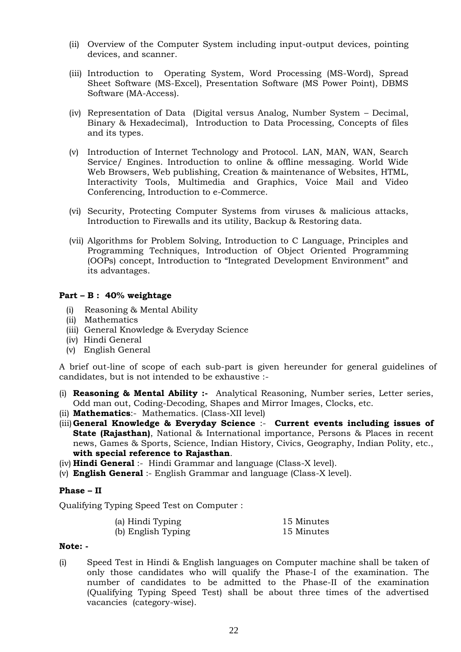- (ii) Overview of the Computer System including input-output devices, pointing devices, and scanner.
- (iii) Introduction to Operating System, Word Processing (MS-Word), Spread Sheet Software (MS-Excel), Presentation Software (MS Power Point), DBMS Software (MA-Access).
- (iv) Representation of Data (Digital versus Analog, Number System Decimal, Binary & Hexadecimal), Introduction to Data Processing, Concepts of files and its types.
- (v) Introduction of Internet Technology and Protocol. LAN, MAN, WAN, Search Service/ Engines. Introduction to online & offline messaging. World Wide Web Browsers, Web publishing, Creation & maintenance of Websites, HTML, Interactivity Tools, Multimedia and Graphics, Voice Mail and Video Conferencing, Introduction to e-Commerce.
- (vi) Security, Protecting Computer Systems from viruses & malicious attacks, Introduction to Firewalls and its utility, Backup & Restoring data.
- (vii) Algorithms for Problem Solving, Introduction to C Language, Principles and Programming Techniques, Introduction of Object Oriented Programming (OOPs) concept, Introduction to "Integrated Development Environment" and its advantages.

# **Part – B : 40% weightage**

- (i) Reasoning & Mental Ability
- (ii) Mathematics
- (iii) General Knowledge & Everyday Science
- (iv) Hindi General
- (v) English General

A brief out-line of scope of each sub-part is given hereunder for general guidelines of candidates, but is not intended to be exhaustive :-

- (i) **Reasoning & Mental Ability :-** Analytical Reasoning, Number series, Letter series, Odd man out, Coding-Decoding, Shapes and Mirror Images, Clocks, etc.
- (ii) **Mathematics**:- Mathematics. (Class-XII level)
- (iii)**General Knowledge & Everyday Science** :- **Current events including issues of State (Rajasthan)**, National & International importance, Persons & Places in recent news, Games & Sports, Science, Indian History, Civics, Geography, Indian Polity, etc., **with special reference to Rajasthan**.
- (iv) **Hindi General** :- Hindi Grammar and language (Class-X level).
- (v) **English General** :- English Grammar and language (Class-X level).

#### **Phase – II**

Qualifying Typing Speed Test on Computer :

| (a) Hindi Typing   | 15 Minutes |
|--------------------|------------|
| (b) English Typing | 15 Minutes |

#### **Note: -**

(i) Speed Test in Hindi & English languages on Computer machine shall be taken of only those candidates who will qualify the Phase-I of the examination. The number of candidates to be admitted to the Phase-II of the examination (Qualifying Typing Speed Test) shall be about three times of the advertised vacancies (category-wise).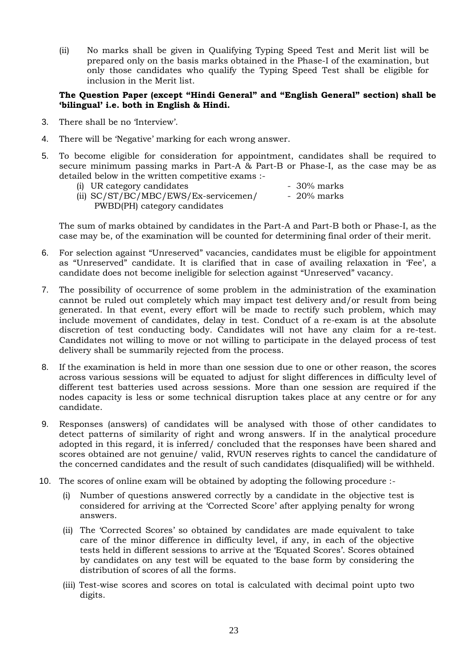(ii) No marks shall be given in Qualifying Typing Speed Test and Merit list will be prepared only on the basis marks obtained in the Phase-I of the examination, but only those candidates who qualify the Typing Speed Test shall be eligible for inclusion in the Merit list.

### **The Question Paper (except "Hindi General" and "English General" section) shall be 'bilingual' i.e. both in English & Hindi.**

- 3. There shall be no 'Interview'.
- 4. There will be 'Negative' marking for each wrong answer.
- 5. To become eligible for consideration for appointment, candidates shall be required to secure minimum passing marks in Part-A & Part-B or Phase-I, as the case may be as detailed below in the written competitive exams :-
	- (i) UR category candidates 30% marks (ii) SC/ST/BC/MBC/EWS/Ex-servicemen/ - 20% marks PWBD(PH) category candidates

The sum of marks obtained by candidates in the Part-A and Part-B both or Phase-I, as the case may be, of the examination will be counted for determining final order of their merit.

- 6. For selection against "Unreserved" vacancies, candidates must be eligible for appointment as "Unreserved" candidate. It is clarified that in case of availing relaxation in 'Fee', a candidate does not become ineligible for selection against "Unreserved" vacancy.
- 7. The possibility of occurrence of some problem in the administration of the examination cannot be ruled out completely which may impact test delivery and/or result from being generated. In that event, every effort will be made to rectify such problem, which may include movement of candidates, delay in test. Conduct of a re-exam is at the absolute discretion of test conducting body. Candidates will not have any claim for a re-test. Candidates not willing to move or not willing to participate in the delayed process of test delivery shall be summarily rejected from the process.
- 8. If the examination is held in more than one session due to one or other reason, the scores across various sessions will be equated to adjust for slight differences in difficulty level of different test batteries used across sessions. More than one session are required if the nodes capacity is less or some technical disruption takes place at any centre or for any candidate.
- 9. Responses (answers) of candidates will be analysed with those of other candidates to detect patterns of similarity of right and wrong answers. If in the analytical procedure adopted in this regard, it is inferred/ concluded that the responses have been shared and scores obtained are not genuine/ valid, RVUN reserves rights to cancel the candidature of the concerned candidates and the result of such candidates (disqualified) will be withheld.
- 10. The scores of online exam will be obtained by adopting the following procedure :-
	- (i) Number of questions answered correctly by a candidate in the objective test is considered for arriving at the 'Corrected Score' after applying penalty for wrong answers.
	- (ii) The 'Corrected Scores' so obtained by candidates are made equivalent to take care of the minor difference in difficulty level, if any, in each of the objective tests held in different sessions to arrive at the 'Equated Scores'. Scores obtained by candidates on any test will be equated to the base form by considering the distribution of scores of all the forms.
	- (iii) Test-wise scores and scores on total is calculated with decimal point upto two digits.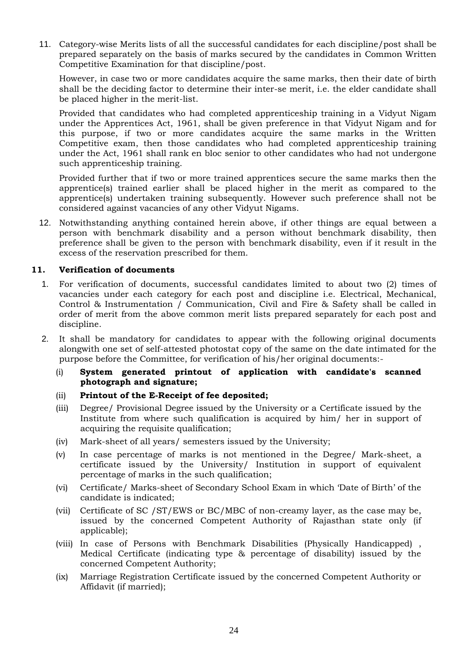11. Category-wise Merits lists of all the successful candidates for each discipline/post shall be prepared separately on the basis of marks secured by the candidates in Common Written Competitive Examination for that discipline/post.

However, in case two or more candidates acquire the same marks, then their date of birth shall be the deciding factor to determine their inter-se merit, i.e. the elder candidate shall be placed higher in the merit-list.

Provided that candidates who had completed apprenticeship training in a Vidyut Nigam under the Apprentices Act, 1961, shall be given preference in that Vidyut Nigam and for this purpose, if two or more candidates acquire the same marks in the Written Competitive exam, then those candidates who had completed apprenticeship training under the Act, 1961 shall rank en bloc senior to other candidates who had not undergone such apprenticeship training.

Provided further that if two or more trained apprentices secure the same marks then the apprentice(s) trained earlier shall be placed higher in the merit as compared to the apprentice(s) undertaken training subsequently. However such preference shall not be considered against vacancies of any other Vidyut Nigams.

12. Notwithstanding anything contained herein above, if other things are equal between a person with benchmark disability and a person without benchmark disability, then preference shall be given to the person with benchmark disability, even if it result in the excess of the reservation prescribed for them.

# **11. Verification of documents**

- 1. For verification of documents, successful candidates limited to about two (2) times of vacancies under each category for each post and discipline i.e. Electrical, Mechanical, Control & Instrumentation / Communication, Civil and Fire & Safety shall be called in order of merit from the above common merit lists prepared separately for each post and discipline.
- 2. It shall be mandatory for candidates to appear with the following original documents alongwith one set of self-attested photostat copy of the same on the date intimated for the purpose before the Committee, for verification of his/her original documents:-
	- (i) **System generated printout of application with candidate's scanned photograph and signature;**
	- (ii) **Printout of the E-Receipt of fee deposited;**
	- (iii) Degree/ Provisional Degree issued by the University or a Certificate issued by the Institute from where such qualification is acquired by him/ her in support of acquiring the requisite qualification;
	- (iv) Mark-sheet of all years/ semesters issued by the University;
	- (v) In case percentage of marks is not mentioned in the Degree/ Mark-sheet, a certificate issued by the University/ Institution in support of equivalent percentage of marks in the such qualification;
	- (vi) Certificate/ Marks-sheet of Secondary School Exam in which 'Date of Birth' of the candidate is indicated;
	- (vii) Certificate of SC /ST/EWS or BC/MBC of non-creamy layer, as the case may be, issued by the concerned Competent Authority of Rajasthan state only (if applicable);
	- (viii) In case of Persons with Benchmark Disabilities (Physically Handicapped) , Medical Certificate (indicating type & percentage of disability) issued by the concerned Competent Authority;
	- (ix) Marriage Registration Certificate issued by the concerned Competent Authority or Affidavit (if married);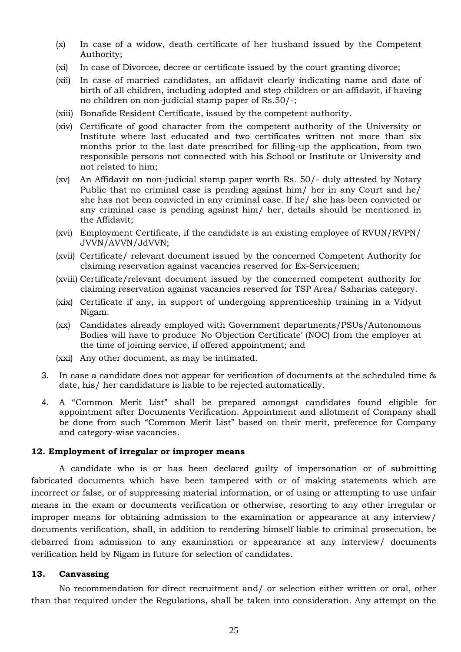- (x) In case of a widow, death certificate of her husband issued by the Competent Authority;
- (xi) In case of Divorcee, decree or certificate issued by the court granting divorce;
- (xii) In case of married candidates, an affidavit clearly indicating name and date of birth of all children, including adopted and step children or an affidavit, if having no children on non-judicial stamp paper of Rs.50/-;
- (xiii) Bonafide Resident Certificate, issued by the competent authority.
- (xiv) Certificate of good character from the competent authority of the University or Institute where last educated and two certificates written not more than six months prior to the last date prescribed for filling-up the application, from two responsible persons not connected with his School or Institute or University and not related to him;
- (xv) An Affidavit on non-judicial stamp paper worth Rs. 50/- duly attested by Notary Public that no criminal case is pending against him/ her in any Court and he/ she has not been convicted in any criminal case. If he/ she has been convicted or any criminal case is pending against him/ her, details should be mentioned in the Affidavit;
- (xvi) Employment Certificate, if the candidate is an existing employee of RVUN/RVPN/ JVVN/AVVN/JdVVN;
- (xvii) Certificate/ relevant document issued by the concerned Competent Authority for claiming reservation against vacancies reserved for Ex-Servicemen;
- (xviii) Certificate/relevant document issued by the concerned competent authority for claiming reservation against vacancies reserved for TSP Area/ Saharias category.
- (xix) Certificate if any, in support of undergoing apprenticeship training in a Vidyut Nigam.
- (xx) Candidates already employed with Government departments/PSUs/Autonomous Bodies will have to produce 'No Objection Certificate' (NOC) from the employer at the time of joining service, if offered appointment; and
- (xxi) Any other document, as may be intimated.
- 3. In case a candidate does not appear for verification of documents at the scheduled time & date, his/ her candidature is liable to be rejected automatically.
- 4. A "Common Merit List" shall be prepared amongst candidates found eligible for appointment after Documents Verification. Appointment and allotment of Company shall be done from such "Common Merit List" based on their merit, preference for Company and category-wise vacancies.

#### **12. Employment of irregular or improper means**

A candidate who is or has been declared guilty of impersonation or of submitting fabricated documents which have been tampered with or of making statements which are incorrect or false, or of suppressing material information, or of using or attempting to use unfair means in the exam or documents verification or otherwise, resorting to any other irregular or improper means for obtaining admission to the examination or appearance at any interview/ documents verification, shall, in addition to rendering himself liable to criminal prosecution, be debarred from admission to any examination or appearance at any interview/ documents verification held by Nigam in future for selection of candidates.

# **13. Canvassing**

No recommendation for direct recruitment and/ or selection either written or oral, other than that required under the Regulations, shall be taken into consideration. Any attempt on the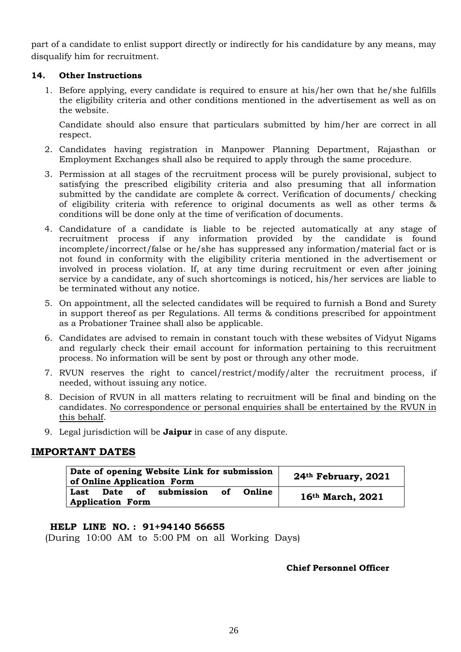part of a candidate to enlist support directly or indirectly for his candidature by any means, may disqualify him for recruitment.

# **14. Other Instructions**

1. Before applying, every candidate is required to ensure at his/her own that he/she fulfills the eligibility criteria and other conditions mentioned in the advertisement as well as on the website.

Candidate should also ensure that particulars submitted by him/her are correct in all respect.

- 2. Candidates having registration in Manpower Planning Department, Rajasthan or Employment Exchanges shall also be required to apply through the same procedure.
- 3. Permission at all stages of the recruitment process will be purely provisional, subject to satisfying the prescribed eligibility criteria and also presuming that all information submitted by the candidate are complete & correct. Verification of documents/ checking of eligibility criteria with reference to original documents as well as other terms & conditions will be done only at the time of verification of documents.
- 4. Candidature of a candidate is liable to be rejected automatically at any stage of recruitment process if any information provided by the candidate is found incomplete/incorrect/false or he/she has suppressed any information/material fact or is not found in conformity with the eligibility criteria mentioned in the advertisement or involved in process violation. If, at any time during recruitment or even after joining service by a candidate, any of such shortcomings is noticed, his/her services are liable to be terminated without any notice.
- 5. On appointment, all the selected candidates will be required to furnish a Bond and Surety in support thereof as per Regulations. All terms & conditions prescribed for appointment as a Probationer Trainee shall also be applicable.
- 6. Candidates are advised to remain in constant touch with these websites of Vidyut Nigams and regularly check their email account for information pertaining to this recruitment process. No information will be sent by post or through any other mode.
- 7. RVUN reserves the right to cancel/restrict/modify/alter the recruitment process, if needed, without issuing any notice.
- 8. Decision of RVUN in all matters relating to recruitment will be final and binding on the candidates. No correspondence or personal enquiries shall be entertained by the RVUN in this behalf.
- 9. Legal jurisdiction will be **Jaipur** in case of any dispute.

# **IMPORTANT DATES**

| Date of opening Website Link for submission<br>of Online Application Form | 24 <sup>th</sup> February, 2021 |
|---------------------------------------------------------------------------|---------------------------------|
| Last Date of submission of<br>Online<br><b>Application Form</b>           | 16th March, 2021                |

# **HELP LINE NO. : 91+94140 56655**

(During 10:00 AM to 5:00 PM on all Working Days)

# **Chief Personnel Officer**